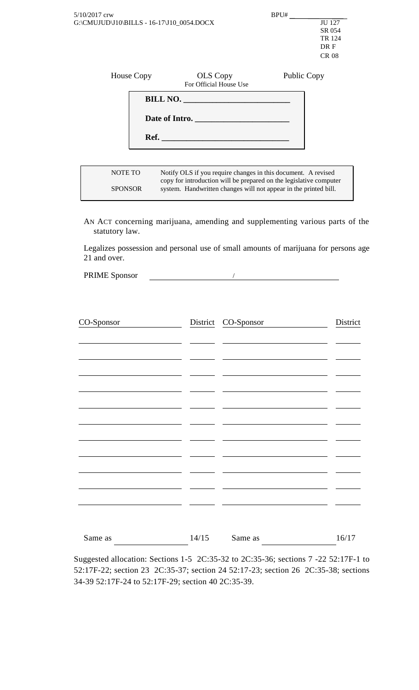| G:\CMUJUD\J10\BILLS - 16-17\J10_0054.DOCX |                                                                                                                                     | <b>JU</b> 127<br>SR 054<br>TR 124<br>DR F<br><b>CR 08</b> |
|-------------------------------------------|-------------------------------------------------------------------------------------------------------------------------------------|-----------------------------------------------------------|
| House Copy                                | OLS Copy<br>For Official House Use                                                                                                  | Public Copy                                               |
|                                           | BILL NO.<br>Date of Intro.                                                                                                          |                                                           |
|                                           |                                                                                                                                     |                                                           |
| <b>NOTE TO</b>                            | Notify OLS if you require changes in this document. A revised<br>copy for introduction will be prepared on the legislative computer |                                                           |

5/10/2017 crw BPU#

AN ACT concerning marijuana, amending and supplementing various parts of the statutory law.

SPONSOR system. Handwritten changes will not appear in the printed bill.

Legalizes possession and personal use of small amounts of marijuana for persons age 21 and over.

PRIME Sponsor /

| CO-Sponsor |       | District CO-Sponsor | District |
|------------|-------|---------------------|----------|
|            |       |                     |          |
|            |       |                     |          |
|            |       |                     |          |
|            |       |                     |          |
|            |       |                     |          |
|            |       |                     |          |
|            |       |                     |          |
|            |       |                     |          |
|            |       |                     |          |
|            |       |                     |          |
|            |       |                     |          |
|            |       |                     |          |
|            |       |                     |          |
| Same as    | 14/15 | Same as             | 16/17    |

Suggested allocation: Sections 1-5 2C:35-32 to 2C:35-36; sections 7 -22 52:17F-1 to 52:17F-22; section 23 2C:35-37; section 24 52:17-23; section 26 2C:35-38; sections

34-39 52:17F-24 to 52:17F-29; section 40 2C:35-39.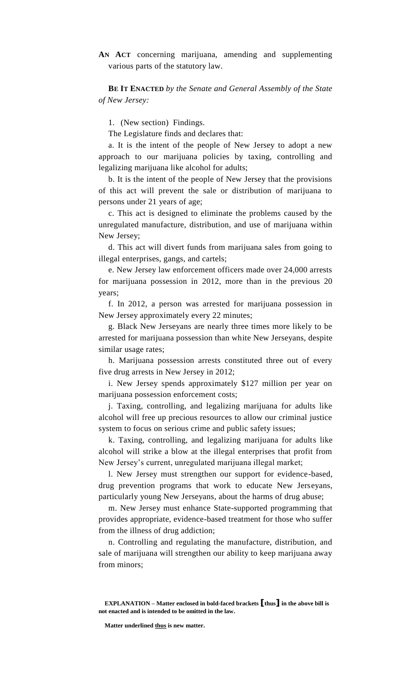**AN ACT** concerning marijuana, amending and supplementing various parts of the statutory law.

**BE IT ENACTED** *by the Senate and General Assembly of the State of New Jersey:*

1. (New section) Findings.

The Legislature finds and declares that:

a. It is the intent of the people of New Jersey to adopt a new approach to our marijuana policies by taxing, controlling and legalizing marijuana like alcohol for adults;

b. It is the intent of the people of New Jersey that the provisions of this act will prevent the sale or distribution of marijuana to persons under 21 years of age;

c. This act is designed to eliminate the problems caused by the unregulated manufacture, distribution, and use of marijuana within New Jersey;

d. This act will divert funds from marijuana sales from going to illegal enterprises, gangs, and cartels;

e. New Jersey law enforcement officers made over 24,000 arrests for marijuana possession in 2012, more than in the previous 20 years;

f. In 2012, a person was arrested for marijuana possession in New Jersey approximately every 22 minutes;

g. Black New Jerseyans are nearly three times more likely to be arrested for marijuana possession than white New Jerseyans, despite similar usage rates;

h. Marijuana possession arrests constituted three out of every five drug arrests in New Jersey in 2012;

i. New Jersey spends approximately \$127 million per year on marijuana possession enforcement costs;

j. Taxing, controlling, and legalizing marijuana for adults like alcohol will free up precious resources to allow our criminal justice system to focus on serious crime and public safety issues;

k. Taxing, controlling, and legalizing marijuana for adults like alcohol will strike a blow at the illegal enterprises that profit from New Jersey's current, unregulated marijuana illegal market;

l. New Jersey must strengthen our support for evidence-based, drug prevention programs that work to educate New Jerseyans, particularly young New Jerseyans, about the harms of drug abuse;

m. New Jersey must enhance State-supported programming that provides appropriate, evidence-based treatment for those who suffer from the illness of drug addiction;

n. Controlling and regulating the manufacture, distribution, and sale of marijuana will strengthen our ability to keep marijuana away from minors;

**EXPLANATION – Matter enclosed in bold-faced brackets [thus] in the above bill is not enacted and is intended to be omitted in the law.**

**Matter underlined thus is new matter.**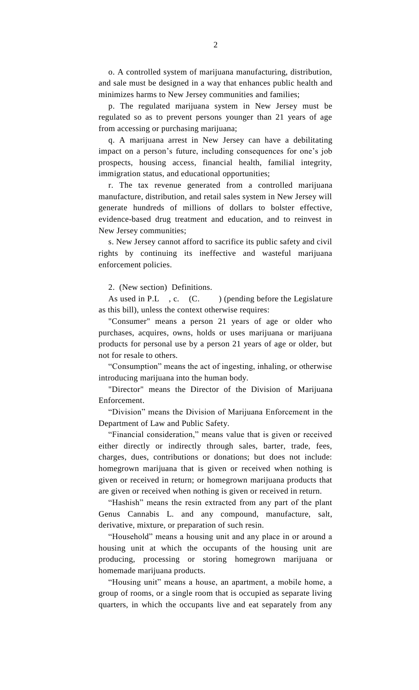o. A controlled system of marijuana manufacturing, distribution, and sale must be designed in a way that enhances public health and minimizes harms to New Jersey communities and families;

p. The regulated marijuana system in New Jersey must be regulated so as to prevent persons younger than 21 years of age from accessing or purchasing marijuana;

q. A marijuana arrest in New Jersey can have a debilitating impact on a person's future, including consequences for one's job prospects, housing access, financial health, familial integrity, immigration status, and educational opportunities;

r. The tax revenue generated from a controlled marijuana manufacture, distribution, and retail sales system in New Jersey will generate hundreds of millions of dollars to bolster effective, evidence-based drug treatment and education, and to reinvest in New Jersey communities;

s. New Jersey cannot afford to sacrifice its public safety and civil rights by continuing its ineffective and wasteful marijuana enforcement policies.

2. (New section) Definitions.

As used in P.L  $, c.$  (C. ) (pending before the Legislature as this bill), unless the context otherwise requires:

"Consumer" means a person 21 years of age or older who purchases, acquires, owns, holds or uses marijuana or marijuana products for personal use by a person 21 years of age or older, but not for resale to others.

"Consumption" means the act of ingesting, inhaling, or otherwise introducing marijuana into the human body.

"Director" means the Director of the Division of Marijuana Enforcement.

"Division" means the Division of Marijuana Enforcement in the Department of Law and Public Safety.

"Financial consideration," means value that is given or received either directly or indirectly through sales, barter, trade, fees, charges, dues, contributions or donations; but does not include: homegrown marijuana that is given or received when nothing is given or received in return; or homegrown marijuana products that are given or received when nothing is given or received in return.

"Hashish" means the resin extracted from any part of the plant Genus Cannabis L. and any compound, manufacture, salt, derivative, mixture, or preparation of such resin.

"Household" means a housing unit and any place in or around a housing unit at which the occupants of the housing unit are producing, processing or storing homegrown marijuana or homemade marijuana products.

"Housing unit" means a house, an apartment, a mobile home, a group of rooms, or a single room that is occupied as separate living quarters, in which the occupants live and eat separately from any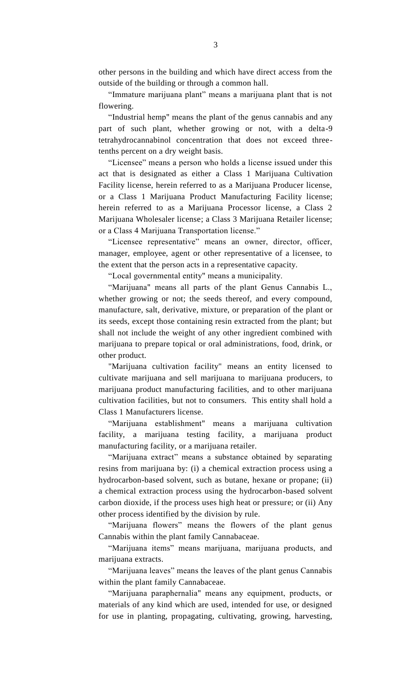other persons in the building and which have direct access from the outside of the building or through a common hall.

"Immature marijuana plant" means a marijuana plant that is not flowering.

"Industrial hemp" means the plant of the genus cannabis and any part of such plant, whether growing or not, with a delta-9 tetrahydrocannabinol concentration that does not exceed threetenths percent on a dry weight basis.

"Licensee" means a person who holds a license issued under this act that is designated as either a Class 1 Marijuana Cultivation Facility license, herein referred to as a Marijuana Producer license, or a Class 1 Marijuana Product Manufacturing Facility license; herein referred to as a Marijuana Processor license, a Class 2 Marijuana Wholesaler license; a Class 3 Marijuana Retailer license; or a Class 4 Marijuana Transportation license."

"Licensee representative" means an owner, director, officer, manager, employee, agent or other representative of a licensee, to the extent that the person acts in a representative capacity.

"Local governmental entity" means a municipality.

"Marijuana" means all parts of the plant Genus Cannabis L., whether growing or not; the seeds thereof, and every compound, manufacture, salt, derivative, mixture, or preparation of the plant or its seeds, except those containing resin extracted from the plant; but shall not include the weight of any other ingredient combined with marijuana to prepare topical or oral administrations, food, drink, or other product.

"Marijuana cultivation facility" means an entity licensed to cultivate marijuana and sell marijuana to marijuana producers, to marijuana product manufacturing facilities, and to other marijuana cultivation facilities, but not to consumers. This entity shall hold a Class 1 Manufacturers license.

"Marijuana establishment" means a marijuana cultivation facility, a marijuana testing facility, a marijuana product manufacturing facility, or a marijuana retailer.

"Marijuana extract" means a substance obtained by separating resins from marijuana by: (i) a chemical extraction process using a hydrocarbon-based solvent, such as butane, hexane or propane; (ii) a chemical extraction process using the hydrocarbon-based solvent carbon dioxide, if the process uses high heat or pressure; or (ii) Any other process identified by the division by rule.

"Marijuana flowers" means the flowers of the plant genus Cannabis within the plant family Cannabaceae.

"Marijuana items" means marijuana, marijuana products, and marijuana extracts.

"Marijuana leaves" means the leaves of the plant genus Cannabis within the plant family Cannabaceae.

"Marijuana paraphernalia" means any equipment, products, or materials of any kind which are used, intended for use, or designed for use in planting, propagating, cultivating, growing, harvesting,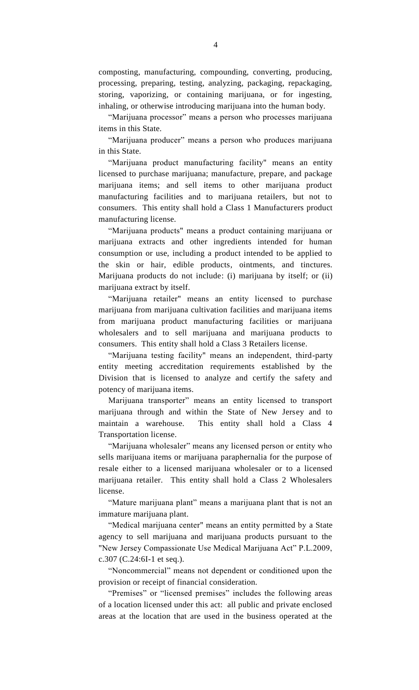composting, manufacturing, compounding, converting, producing, processing, preparing, testing, analyzing, packaging, repackaging, storing, vaporizing, or containing marijuana, or for ingesting, inhaling, or otherwise introducing marijuana into the human body.

"Marijuana processor" means a person who processes marijuana items in this State.

"Marijuana producer" means a person who produces marijuana in this State.

"Marijuana product manufacturing facility" means an entity licensed to purchase marijuana; manufacture, prepare, and package marijuana items; and sell items to other marijuana product manufacturing facilities and to marijuana retailers, but not to consumers. This entity shall hold a Class 1 Manufacturers product manufacturing license.

"Marijuana products" means a product containing marijuana or marijuana extracts and other ingredients intended for human consumption or use, including a product intended to be applied to the skin or hair, edible products, ointments, and tinctures. Marijuana products do not include: (i) marijuana by itself; or (ii) marijuana extract by itself.

"Marijuana retailer" means an entity licensed to purchase marijuana from marijuana cultivation facilities and marijuana items from marijuana product manufacturing facilities or marijuana wholesalers and to sell marijuana and marijuana products to consumers. This entity shall hold a Class 3 Retailers license.

"Marijuana testing facility" means an independent, third-party entity meeting accreditation requirements established by the Division that is licensed to analyze and certify the safety and potency of marijuana items.

Marijuana transporter" means an entity licensed to transport marijuana through and within the State of New Jersey and to maintain a warehouse. This entity shall hold a Class 4 Transportation license.

"Marijuana wholesaler" means any licensed person or entity who sells marijuana items or marijuana paraphernalia for the purpose of resale either to a licensed marijuana wholesaler or to a licensed marijuana retailer. This entity shall hold a Class 2 Wholesalers license.

"Mature marijuana plant" means a marijuana plant that is not an immature marijuana plant.

"Medical marijuana center" means an entity permitted by a State agency to sell marijuana and marijuana products pursuant to the "New Jersey Compassionate Use Medical Marijuana Act" P.L.2009, c.307 (C.24:6I-1 et seq.).

"Noncommercial" means not dependent or conditioned upon the provision or receipt of financial consideration.

"Premises" or "licensed premises" includes the following areas of a location licensed under this act: all public and private enclosed areas at the location that are used in the business operated at the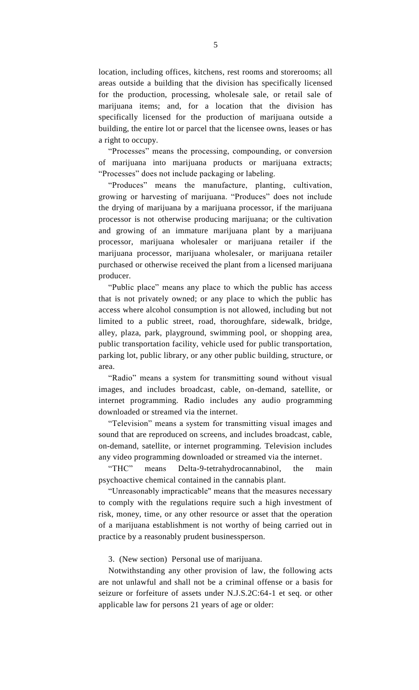location, including offices, kitchens, rest rooms and storerooms; all areas outside a building that the division has specifically licensed for the production, processing, wholesale sale, or retail sale of marijuana items; and, for a location that the division has specifically licensed for the production of marijuana outside a building, the entire lot or parcel that the licensee owns, leases or has a right to occupy.

"Processes" means the processing, compounding, or conversion of marijuana into marijuana products or marijuana extracts; "Processes" does not include packaging or labeling.

"Produces" means the manufacture, planting, cultivation, growing or harvesting of marijuana. "Produces" does not include the drying of marijuana by a marijuana processor, if the marijuana processor is not otherwise producing marijuana; or the cultivation and growing of an immature marijuana plant by a marijuana processor, marijuana wholesaler or marijuana retailer if the marijuana processor, marijuana wholesaler, or marijuana retailer purchased or otherwise received the plant from a licensed marijuana producer.

"Public place" means any place to which the public has access that is not privately owned; or any place to which the public has access where alcohol consumption is not allowed, including but not limited to a public street, road, thoroughfare, sidewalk, bridge, alley, plaza, park, playground, swimming pool, or shopping area, public transportation facility, vehicle used for public transportation, parking lot, public library, or any other public building, structure, or area.

"Radio" means a system for transmitting sound without visual images, and includes broadcast, cable, on-demand, satellite, or internet programming. Radio includes any audio programming downloaded or streamed via the internet.

"Television" means a system for transmitting visual images and sound that are reproduced on screens, and includes broadcast, cable, on-demand, satellite, or internet programming. Television includes any video programming downloaded or streamed via the internet.

"THC" means Delta-9-tetrahydrocannabinol, the main psychoactive chemical contained in the cannabis plant.

"Unreasonably impracticable" means that the measures necessary to comply with the regulations require such a high investment of risk, money, time, or any other resource or asset that the operation of a marijuana establishment is not worthy of being carried out in practice by a reasonably prudent businessperson.

3. (New section) Personal use of marijuana.

Notwithstanding any other provision of law, the following acts are not unlawful and shall not be a criminal offense or a basis for seizure or forfeiture of assets under N.J.S.2C:64-1 et seq. or other applicable law for persons 21 years of age or older: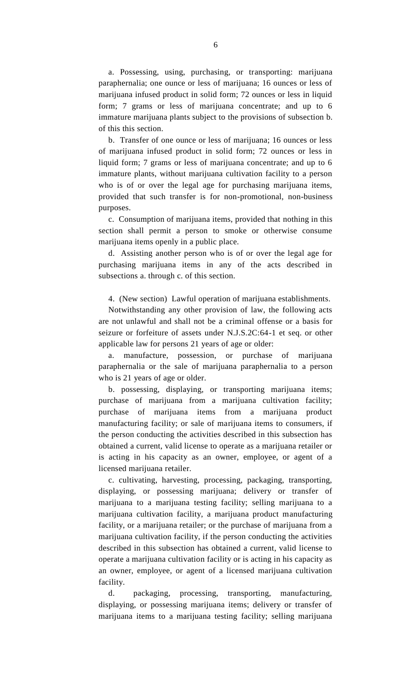a. Possessing, using, purchasing, or transporting: marijuana paraphernalia; one ounce or less of marijuana; 16 ounces or less of marijuana infused product in solid form; 72 ounces or less in liquid form; 7 grams or less of marijuana concentrate; and up to 6 immature marijuana plants subject to the provisions of subsection b. of this this section.

b. Transfer of one ounce or less of marijuana; 16 ounces or less of marijuana infused product in solid form; 72 ounces or less in liquid form; 7 grams or less of marijuana concentrate; and up to 6 immature plants, without marijuana cultivation facility to a person who is of or over the legal age for purchasing marijuana items, provided that such transfer is for non-promotional, non-business purposes.

c. Consumption of marijuana items, provided that nothing in this section shall permit a person to smoke or otherwise consume marijuana items openly in a public place.

d. Assisting another person who is of or over the legal age for purchasing marijuana items in any of the acts described in subsections a. through c. of this section.

4. (New section) Lawful operation of marijuana establishments.

Notwithstanding any other provision of law, the following acts are not unlawful and shall not be a criminal offense or a basis for seizure or forfeiture of assets under N.J.S.2C:64-1 et seq. or other applicable law for persons 21 years of age or older:

a. manufacture, possession, or purchase of marijuana paraphernalia or the sale of marijuana paraphernalia to a person who is 21 years of age or older.

b. possessing, displaying, or transporting marijuana items; purchase of marijuana from a marijuana cultivation facility; purchase of marijuana items from a marijuana product manufacturing facility; or sale of marijuana items to consumers, if the person conducting the activities described in this subsection has obtained a current, valid license to operate as a marijuana retailer or is acting in his capacity as an owner, employee, or agent of a licensed marijuana retailer.

c. cultivating, harvesting, processing, packaging, transporting, displaying, or possessing marijuana; delivery or transfer of marijuana to a marijuana testing facility; selling marijuana to a marijuana cultivation facility, a marijuana product manufacturing facility, or a marijuana retailer; or the purchase of marijuana from a marijuana cultivation facility, if the person conducting the activities described in this subsection has obtained a current, valid license to operate a marijuana cultivation facility or is acting in his capacity as an owner, employee, or agent of a licensed marijuana cultivation facility.

d. packaging, processing, transporting, manufacturing, displaying, or possessing marijuana items; delivery or transfer of marijuana items to a marijuana testing facility; selling marijuana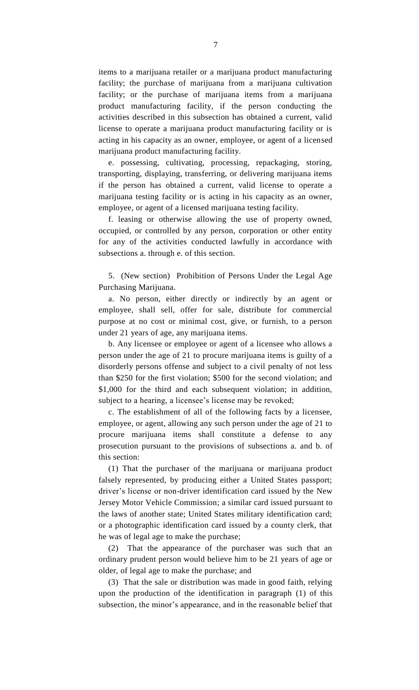items to a marijuana retailer or a marijuana product manufacturing facility; the purchase of marijuana from a marijuana cultivation facility; or the purchase of marijuana items from a marijuana product manufacturing facility, if the person conducting the activities described in this subsection has obtained a current, valid license to operate a marijuana product manufacturing facility or is acting in his capacity as an owner, employee, or agent of a licensed marijuana product manufacturing facility.

e. possessing, cultivating, processing, repackaging, storing, transporting, displaying, transferring, or delivering marijuana items if the person has obtained a current, valid license to operate a marijuana testing facility or is acting in his capacity as an owner, employee, or agent of a licensed marijuana testing facility.

f. leasing or otherwise allowing the use of property owned, occupied, or controlled by any person, corporation or other entity for any of the activities conducted lawfully in accordance with subsections a. through e. of this section.

5. (New section) Prohibition of Persons Under the Legal Age Purchasing Marijuana.

a. No person, either directly or indirectly by an agent or employee, shall sell, offer for sale, distribute for commercial purpose at no cost or minimal cost, give, or furnish, to a person under 21 years of age, any marijuana items.

b. Any licensee or employee or agent of a licensee who allows a person under the age of 21 to procure marijuana items is guilty of a disorderly persons offense and subject to a civil penalty of not less than \$250 for the first violation; \$500 for the second violation; and \$1,000 for the third and each subsequent violation; in addition, subject to a hearing, a licensee's license may be revoked;

c. The establishment of all of the following facts by a licensee, employee, or agent, allowing any such person under the age of 21 to procure marijuana items shall constitute a defense to any prosecution pursuant to the provisions of subsections a. and b. of this section:

(1) That the purchaser of the marijuana or marijuana product falsely represented, by producing either a United States passport; driver's license or non-driver identification card issued by the New Jersey Motor Vehicle Commission; a similar card issued pursuant to the laws of another state; United States military identification card; or a photographic identification card issued by a county clerk, that he was of legal age to make the purchase;

(2) That the appearance of the purchaser was such that an ordinary prudent person would believe him to be 21 years of age or older, of legal age to make the purchase; and

(3) That the sale or distribution was made in good faith, relying upon the production of the identification in paragraph (1) of this subsection, the minor's appearance, and in the reasonable belief that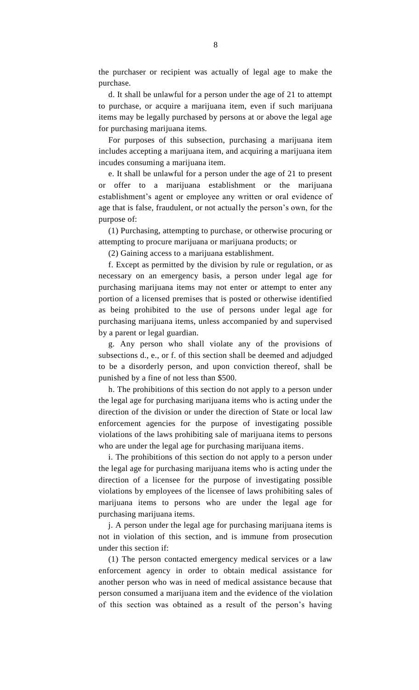the purchaser or recipient was actually of legal age to make the purchase.

d. It shall be unlawful for a person under the age of 21 to attempt to purchase, or acquire a marijuana item, even if such marijuana items may be legally purchased by persons at or above the legal age for purchasing marijuana items.

For purposes of this subsection, purchasing a marijuana item includes accepting a marijuana item, and acquiring a marijuana item incudes consuming a marijuana item.

e. It shall be unlawful for a person under the age of 21 to present or offer to a marijuana establishment or the marijuana establishment's agent or employee any written or oral evidence of age that is false, fraudulent, or not actually the person's own, for the purpose of:

(1) Purchasing, attempting to purchase, or otherwise procuring or attempting to procure marijuana or marijuana products; or

(2) Gaining access to a marijuana establishment.

f. Except as permitted by the division by rule or regulation, or as necessary on an emergency basis, a person under legal age for purchasing marijuana items may not enter or attempt to enter any portion of a licensed premises that is posted or otherwise identified as being prohibited to the use of persons under legal age for purchasing marijuana items, unless accompanied by and supervised by a parent or legal guardian.

g. Any person who shall violate any of the provisions of subsections d., e., or f. of this section shall be deemed and adjudged to be a disorderly person, and upon conviction thereof, shall be punished by a fine of not less than \$500.

h. The prohibitions of this section do not apply to a person under the legal age for purchasing marijuana items who is acting under the direction of the division or under the direction of State or local law enforcement agencies for the purpose of investigating possible violations of the laws prohibiting sale of marijuana items to persons who are under the legal age for purchasing marijuana items.

i. The prohibitions of this section do not apply to a person under the legal age for purchasing marijuana items who is acting under the direction of a licensee for the purpose of investigating possible violations by employees of the licensee of laws prohibiting sales of marijuana items to persons who are under the legal age for purchasing marijuana items.

j. A person under the legal age for purchasing marijuana items is not in violation of this section, and is immune from prosecution under this section if:

(1) The person contacted emergency medical services or a law enforcement agency in order to obtain medical assistance for another person who was in need of medical assistance because that person consumed a marijuana item and the evidence of the violation of this section was obtained as a result of the person's having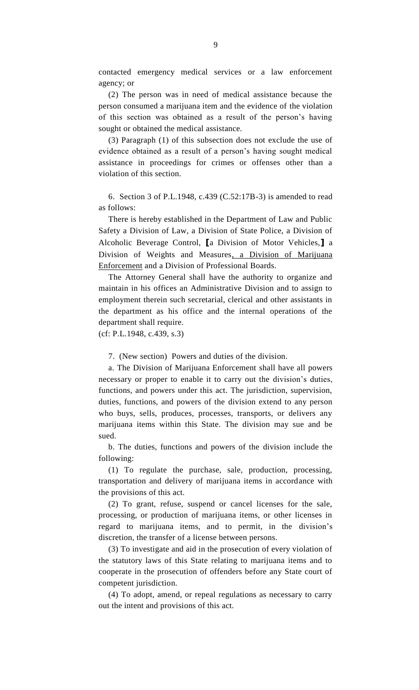contacted emergency medical services or a law enforcement agency; or

(2) The person was in need of medical assistance because the person consumed a marijuana item and the evidence of the violation of this section was obtained as a result of the person's having sought or obtained the medical assistance.

(3) Paragraph (1) of this subsection does not exclude the use of evidence obtained as a result of a person's having sought medical assistance in proceedings for crimes or offenses other than a violation of this section.

6. Section 3 of P.L.1948, c.439 (C.52:17B-3) is amended to read as follows:

There is hereby established in the Department of Law and Public Safety a Division of Law, a Division of State Police, a Division of Alcoholic Beverage Control, **[**a Division of Motor Vehicles,**]** a Division of Weights and Measures, a Division of Marijuana Enforcement and a Division of Professional Boards.

The Attorney General shall have the authority to organize and maintain in his offices an Administrative Division and to assign to employment therein such secretarial, clerical and other assistants in the department as his office and the internal operations of the department shall require.

(cf: P.L.1948, c.439, s.3)

7. (New section) Powers and duties of the division.

a. The Division of Marijuana Enforcement shall have all powers necessary or proper to enable it to carry out the division's duties, functions, and powers under this act. The jurisdiction, supervision, duties, functions, and powers of the division extend to any person who buys, sells, produces, processes, transports, or delivers any marijuana items within this State. The division may sue and be sued.

b. The duties, functions and powers of the division include the following:

(1) To regulate the purchase, sale, production, processing, transportation and delivery of marijuana items in accordance with the provisions of this act.

(2) To grant, refuse, suspend or cancel licenses for the sale, processing, or production of marijuana items, or other licenses in regard to marijuana items, and to permit, in the division's discretion, the transfer of a license between persons.

(3) To investigate and aid in the prosecution of every violation of the statutory laws of this State relating to marijuana items and to cooperate in the prosecution of offenders before any State court of competent jurisdiction.

(4) To adopt, amend, or repeal regulations as necessary to carry out the intent and provisions of this act.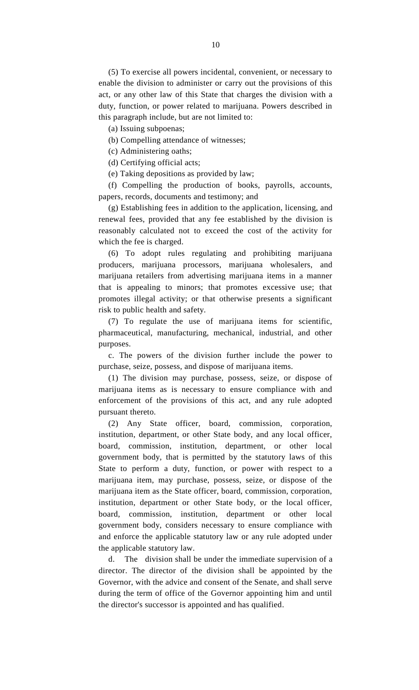(5) To exercise all powers incidental, convenient, or necessary to enable the division to administer or carry out the provisions of this act, or any other law of this State that charges the division with a duty, function, or power related to marijuana. Powers described in this paragraph include, but are not limited to:

(a) Issuing subpoenas;

(b) Compelling attendance of witnesses;

(c) Administering oaths;

(d) Certifying official acts;

(e) Taking depositions as provided by law;

(f) Compelling the production of books, payrolls, accounts, papers, records, documents and testimony; and

(g) Establishing fees in addition to the application, licensing, and renewal fees, provided that any fee established by the division is reasonably calculated not to exceed the cost of the activity for which the fee is charged.

(6) To adopt rules regulating and prohibiting marijuana producers, marijuana processors, marijuana wholesalers, and marijuana retailers from advertising marijuana items in a manner that is appealing to minors; that promotes excessive use; that promotes illegal activity; or that otherwise presents a significant risk to public health and safety.

(7) To regulate the use of marijuana items for scientific, pharmaceutical, manufacturing, mechanical, industrial, and other purposes.

c. The powers of the division further include the power to purchase, seize, possess, and dispose of marijuana items.

(1) The division may purchase, possess, seize, or dispose of marijuana items as is necessary to ensure compliance with and enforcement of the provisions of this act, and any rule adopted pursuant thereto.

(2) Any State officer, board, commission, corporation, institution, department, or other State body, and any local officer, board, commission, institution, department, or other local government body, that is permitted by the statutory laws of this State to perform a duty, function, or power with respect to a marijuana item, may purchase, possess, seize, or dispose of the marijuana item as the State officer, board, commission, corporation, institution, department or other State body, or the local officer, board, commission, institution, department or other local government body, considers necessary to ensure compliance with and enforce the applicable statutory law or any rule adopted under the applicable statutory law.

d. The division shall be under the immediate supervision of a director. The director of the division shall be appointed by the Governor, with the advice and consent of the Senate, and shall serve during the term of office of the Governor appointing him and until the director's successor is appointed and has qualified.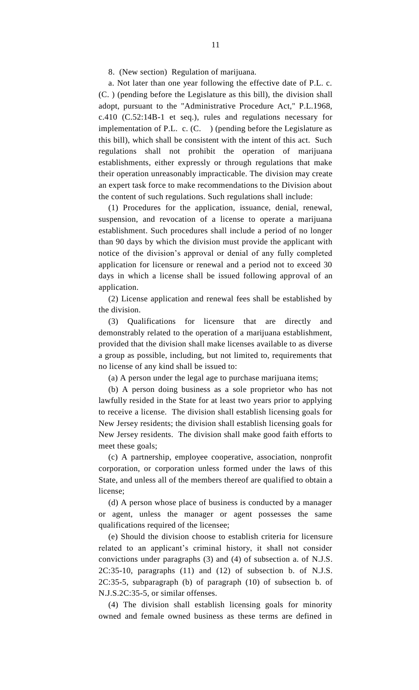8. (New section) Regulation of marijuana.

a. Not later than one year following the effective date of P.L. c. (C. ) (pending before the Legislature as this bill), the division shall adopt, pursuant to the "Administrative Procedure Act," P.L.1968, c.410 (C.52:14B-1 et seq.), rules and regulations necessary for implementation of P.L. c. (C. ) (pending before the Legislature as this bill), which shall be consistent with the intent of this act. Such regulations shall not prohibit the operation of marijuana establishments, either expressly or through regulations that make their operation unreasonably impracticable. The division may create an expert task force to make recommendations to the Division about the content of such regulations. Such regulations shall include:

(1) Procedures for the application, issuance, denial, renewal, suspension, and revocation of a license to operate a marijuana establishment. Such procedures shall include a period of no longer than 90 days by which the division must provide the applicant with notice of the division's approval or denial of any fully completed application for licensure or renewal and a period not to exceed 30 days in which a license shall be issued following approval of an application.

(2) License application and renewal fees shall be established by the division.

(3) Qualifications for licensure that are directly and demonstrably related to the operation of a marijuana establishment, provided that the division shall make licenses available to as diverse a group as possible, including, but not limited to, requirements that no license of any kind shall be issued to:

(a) A person under the legal age to purchase marijuana items;

(b) A person doing business as a sole proprietor who has not lawfully resided in the State for at least two years prior to applying to receive a license. The division shall establish licensing goals for New Jersey residents; the division shall establish licensing goals for New Jersey residents. The division shall make good faith efforts to meet these goals;

(c) A partnership, employee cooperative, association, nonprofit corporation, or corporation unless formed under the laws of this State, and unless all of the members thereof are qualified to obtain a license;

(d) A person whose place of business is conducted by a manager or agent, unless the manager or agent possesses the same qualifications required of the licensee;

(e) Should the division choose to establish criteria for licensure related to an applicant's criminal history, it shall not consider convictions under paragraphs (3) and (4) of subsection a. of N.J.S. 2C:35-10, paragraphs (11) and (12) of subsection b. of N.J.S. 2C:35-5, subparagraph (b) of paragraph (10) of subsection b. of N.J.S.2C:35-5, or similar offenses.

(4) The division shall establish licensing goals for minority owned and female owned business as these terms are defined in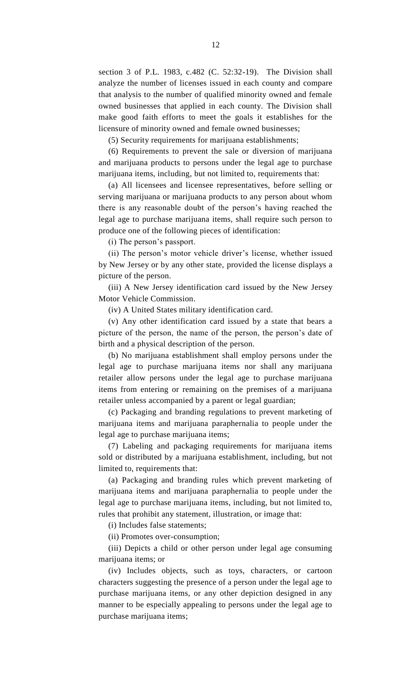section 3 of P.L. 1983, c.482 (C. 52:32-19). The Division shall analyze the number of licenses issued in each county and compare that analysis to the number of qualified minority owned and female owned businesses that applied in each county. The Division shall make good faith efforts to meet the goals it establishes for the licensure of minority owned and female owned businesses;

(5) Security requirements for marijuana establishments;

(6) Requirements to prevent the sale or diversion of marijuana and marijuana products to persons under the legal age to purchase marijuana items, including, but not limited to, requirements that:

(a) All licensees and licensee representatives, before selling or serving marijuana or marijuana products to any person about whom there is any reasonable doubt of the person's having reached the legal age to purchase marijuana items, shall require such person to produce one of the following pieces of identification:

(i) The person's passport.

(ii) The person's motor vehicle driver's license, whether issued by New Jersey or by any other state, provided the license displays a picture of the person.

(iii) A New Jersey identification card issued by the New Jersey Motor Vehicle Commission.

(iv) A United States military identification card.

(v) Any other identification card issued by a state that bears a picture of the person, the name of the person, the person's date of birth and a physical description of the person.

(b) No marijuana establishment shall employ persons under the legal age to purchase marijuana items nor shall any marijuana retailer allow persons under the legal age to purchase marijuana items from entering or remaining on the premises of a marijuana retailer unless accompanied by a parent or legal guardian;

(c) Packaging and branding regulations to prevent marketing of marijuana items and marijuana paraphernalia to people under the legal age to purchase marijuana items;

(7) Labeling and packaging requirements for marijuana items sold or distributed by a marijuana establishment, including, but not limited to, requirements that:

(a) Packaging and branding rules which prevent marketing of marijuana items and marijuana paraphernalia to people under the legal age to purchase marijuana items, including, but not limited to, rules that prohibit any statement, illustration, or image that:

(i) Includes false statements;

(ii) Promotes over-consumption;

(iii) Depicts a child or other person under legal age consuming marijuana items; or

(iv) Includes objects, such as toys, characters, or cartoon characters suggesting the presence of a person under the legal age to purchase marijuana items, or any other depiction designed in any manner to be especially appealing to persons under the legal age to purchase marijuana items;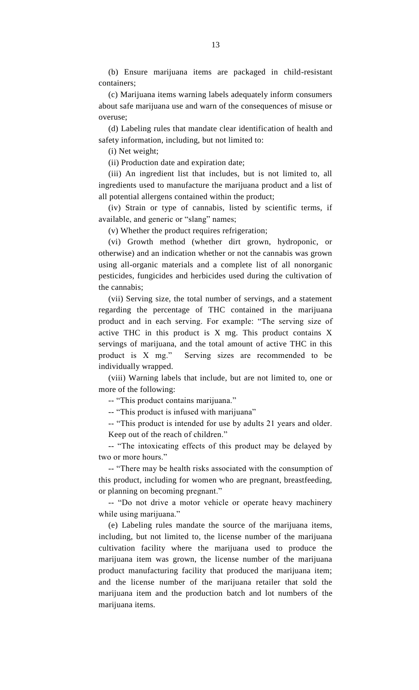(b) Ensure marijuana items are packaged in child-resistant containers;

(c) Marijuana items warning labels adequately inform consumers about safe marijuana use and warn of the consequences of misuse or overuse;

(d) Labeling rules that mandate clear identification of health and safety information, including, but not limited to:

(i) Net weight;

(ii) Production date and expiration date;

(iii) An ingredient list that includes, but is not limited to, all ingredients used to manufacture the marijuana product and a list of all potential allergens contained within the product;

(iv) Strain or type of cannabis, listed by scientific terms, if available, and generic or "slang" names;

(v) Whether the product requires refrigeration;

(vi) Growth method (whether dirt grown, hydroponic, or otherwise) and an indication whether or not the cannabis was grown using all-organic materials and a complete list of all nonorganic pesticides, fungicides and herbicides used during the cultivation of the cannabis;

(vii) Serving size, the total number of servings, and a statement regarding the percentage of THC contained in the marijuana product and in each serving. For example: "The serving size of active THC in this product is X mg. This product contains X servings of marijuana, and the total amount of active THC in this product is X mg." Serving sizes are recommended to be individually wrapped.

(viii) Warning labels that include, but are not limited to, one or more of the following:

-- "This product contains marijuana."

-- "This product is infused with marijuana"

-- "This product is intended for use by adults 21 years and older. Keep out of the reach of children."

-- "The intoxicating effects of this product may be delayed by two or more hours."

-- "There may be health risks associated with the consumption of this product, including for women who are pregnant, breastfeeding, or planning on becoming pregnant."

-- "Do not drive a motor vehicle or operate heavy machinery while using marijuana."

(e) Labeling rules mandate the source of the marijuana items, including, but not limited to, the license number of the marijuana cultivation facility where the marijuana used to produce the marijuana item was grown, the license number of the marijuana product manufacturing facility that produced the marijuana item; and the license number of the marijuana retailer that sold the marijuana item and the production batch and lot numbers of the marijuana items.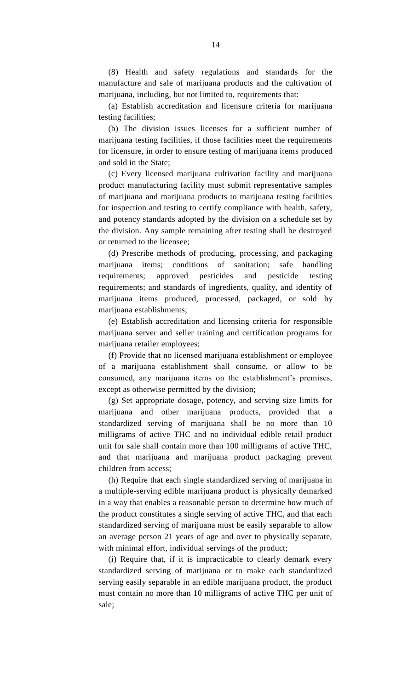(8) Health and safety regulations and standards for the manufacture and sale of marijuana products and the cultivation of marijuana, including, but not limited to, requirements that:

(a) Establish accreditation and licensure criteria for marijuana testing facilities;

(b) The division issues licenses for a sufficient number of marijuana testing facilities, if those facilities meet the requirements for licensure, in order to ensure testing of marijuana items produced and sold in the State;

(c) Every licensed marijuana cultivation facility and marijuana product manufacturing facility must submit representative samples of marijuana and marijuana products to marijuana testing facilities for inspection and testing to certify compliance with health, safety, and potency standards adopted by the division on a schedule set by the division. Any sample remaining after testing shall be destroyed or returned to the licensee;

(d) Prescribe methods of producing, processing, and packaging marijuana items; conditions of sanitation; safe handling requirements; approved pesticides and pesticide testing requirements; and standards of ingredients, quality, and identity of marijuana items produced, processed, packaged, or sold by marijuana establishments;

(e) Establish accreditation and licensing criteria for responsible marijuana server and seller training and certification programs for marijuana retailer employees;

(f) Provide that no licensed marijuana establishment or employee of a marijuana establishment shall consume, or allow to be consumed, any marijuana items on the establishment's premises, except as otherwise permitted by the division;

(g) Set appropriate dosage, potency, and serving size limits for marijuana and other marijuana products, provided that a standardized serving of marijuana shall be no more than 10 milligrams of active THC and no individual edible retail product unit for sale shall contain more than 100 milligrams of active THC, and that marijuana and marijuana product packaging prevent children from access;

(h) Require that each single standardized serving of marijuana in a multiple-serving edible marijuana product is physically demarked in a way that enables a reasonable person to determine how much of the product constitutes a single serving of active THC, and that each standardized serving of marijuana must be easily separable to allow an average person 21 years of age and over to physically separate, with minimal effort, individual servings of the product;

(i) Require that, if it is impracticable to clearly demark every standardized serving of marijuana or to make each standardized serving easily separable in an edible marijuana product, the product must contain no more than 10 milligrams of active THC per unit of sale;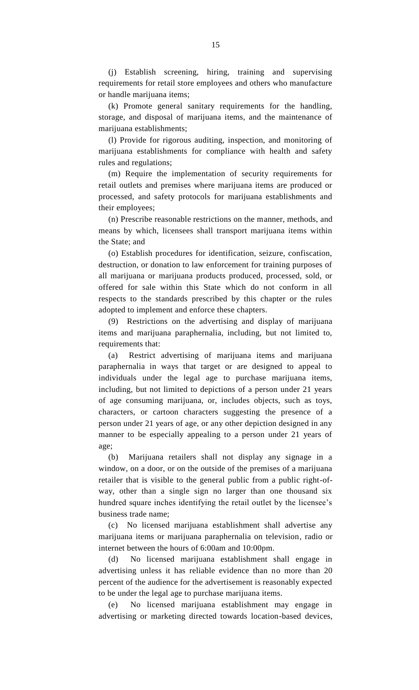(j) Establish screening, hiring, training and supervising requirements for retail store employees and others who manufacture or handle marijuana items;

(k) Promote general sanitary requirements for the handling, storage, and disposal of marijuana items, and the maintenance of marijuana establishments;

(l) Provide for rigorous auditing, inspection, and monitoring of marijuana establishments for compliance with health and safety rules and regulations;

(m) Require the implementation of security requirements for retail outlets and premises where marijuana items are produced or processed, and safety protocols for marijuana establishments and their employees;

(n) Prescribe reasonable restrictions on the manner, methods, and means by which, licensees shall transport marijuana items within the State; and

(o) Establish procedures for identification, seizure, confiscation, destruction, or donation to law enforcement for training purposes of all marijuana or marijuana products produced, processed, sold, or offered for sale within this State which do not conform in all respects to the standards prescribed by this chapter or the rules adopted to implement and enforce these chapters.

(9) Restrictions on the advertising and display of marijuana items and marijuana paraphernalia, including, but not limited to, requirements that:

(a) Restrict advertising of marijuana items and marijuana paraphernalia in ways that target or are designed to appeal to individuals under the legal age to purchase marijuana items, including, but not limited to depictions of a person under 21 years of age consuming marijuana, or, includes objects, such as toys, characters, or cartoon characters suggesting the presence of a person under 21 years of age, or any other depiction designed in any manner to be especially appealing to a person under 21 years of age;

(b) Marijuana retailers shall not display any signage in a window, on a door, or on the outside of the premises of a marijuana retailer that is visible to the general public from a public right-ofway, other than a single sign no larger than one thousand six hundred square inches identifying the retail outlet by the licensee's business trade name;

(c) No licensed marijuana establishment shall advertise any marijuana items or marijuana paraphernalia on television, radio or internet between the hours of 6:00am and 10:00pm.

(d) No licensed marijuana establishment shall engage in advertising unless it has reliable evidence than no more than 20 percent of the audience for the advertisement is reasonably expected to be under the legal age to purchase marijuana items.

(e) No licensed marijuana establishment may engage in advertising or marketing directed towards location-based devices,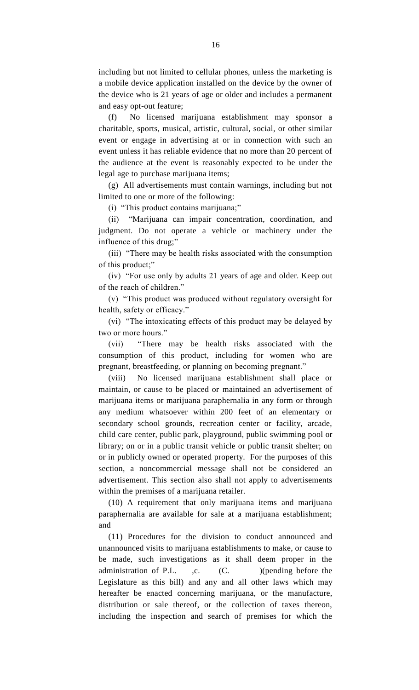including but not limited to cellular phones, unless the marketing is a mobile device application installed on the device by the owner of the device who is 21 years of age or older and includes a permanent and easy opt-out feature;

(f) No licensed marijuana establishment may sponsor a charitable, sports, musical, artistic, cultural, social, or other similar event or engage in advertising at or in connection with such an event unless it has reliable evidence that no more than 20 percent of the audience at the event is reasonably expected to be under the legal age to purchase marijuana items;

(g) All advertisements must contain warnings, including but not limited to one or more of the following:

(i) "This product contains marijuana;"

(ii) "Marijuana can impair concentration, coordination, and judgment. Do not operate a vehicle or machinery under the influence of this drug;"

(iii) "There may be health risks associated with the consumption of this product;"

(iv) "For use only by adults 21 years of age and older. Keep out of the reach of children."

(v) "This product was produced without regulatory oversight for health, safety or efficacy."

(vi) "The intoxicating effects of this product may be delayed by two or more hours."

(vii) "There may be health risks associated with the consumption of this product, including for women who are pregnant, breastfeeding, or planning on becoming pregnant."

(viii) No licensed marijuana establishment shall place or maintain, or cause to be placed or maintained an advertisement of marijuana items or marijuana paraphernalia in any form or through any medium whatsoever within 200 feet of an elementary or secondary school grounds, recreation center or facility, arcade, child care center, public park, playground, public swimming pool or library; on or in a public transit vehicle or public transit shelter; on or in publicly owned or operated property. For the purposes of this section, a noncommercial message shall not be considered an advertisement. This section also shall not apply to advertisements within the premises of a marijuana retailer.

(10) A requirement that only marijuana items and marijuana paraphernalia are available for sale at a marijuana establishment; and

(11) Procedures for the division to conduct announced and unannounced visits to marijuana establishments to make, or cause to be made, such investigations as it shall deem proper in the administration of P.L. ,c. (C. )(pending before the Legislature as this bill) and any and all other laws which may hereafter be enacted concerning marijuana, or the manufacture, distribution or sale thereof, or the collection of taxes thereon, including the inspection and search of premises for which the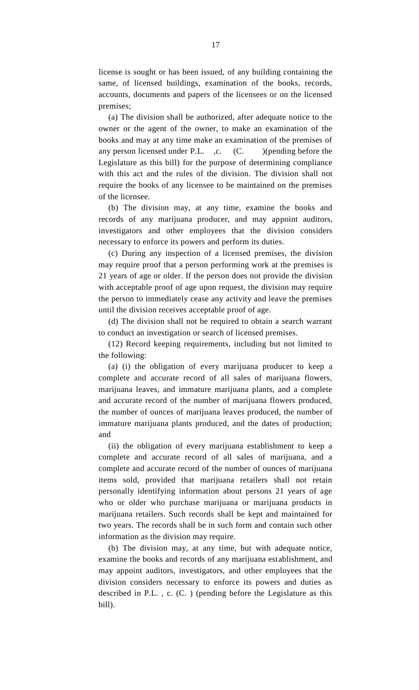license is sought or has been issued, of any building containing the same, of licensed buildings, examination of the books, records, accounts, documents and papers of the licensees or on the licensed premises;

(a) The division shall be authorized, after adequate notice to the owner or the agent of the owner, to make an examination of the books and may at any time make an examination of the premises of any person licensed under P.L. ,c. (C. )(pending before the Legislature as this bill) for the purpose of determining compliance with this act and the rules of the division. The division shall not require the books of any licensee to be maintained on the premises of the licensee.

(b) The division may, at any time, examine the books and records of any marijuana producer, and may appoint auditors, investigators and other employees that the division considers necessary to enforce its powers and perform its duties.

(c) During any inspection of a licensed premises, the division may require proof that a person performing work at the premises is 21 years of age or older. If the person does not provide the division with acceptable proof of age upon request, the division may require the person to immediately cease any activity and leave the premises until the division receives acceptable proof of age.

(d) The division shall not be required to obtain a search warrant to conduct an investigation or search of licensed premises.

(12) Record keeping requirements, including but not limited to the following:

(a) (i) the obligation of every marijuana producer to keep a complete and accurate record of all sales of marijuana flowers, marijuana leaves, and immature marijuana plants, and a complete and accurate record of the number of marijuana flowers produced, the number of ounces of marijuana leaves produced, the number of immature marijuana plants produced, and the dates of production; and

(ii) the obligation of every marijuana establishment to keep a complete and accurate record of all sales of marijuana, and a complete and accurate record of the number of ounces of marijuana items sold, provided that marijuana retailers shall not retain personally identifying information about persons 21 years of age who or older who purchase marijuana or marijuana products in marijuana retailers. Such records shall be kept and maintained for two years. The records shall be in such form and contain such other information as the division may require.

(b) The division may, at any time, but with adequate notice, examine the books and records of any marijuana establishment, and may appoint auditors, investigators, and other employees that the division considers necessary to enforce its powers and duties as described in P.L. , c. (C. ) (pending before the Legislature as this bill).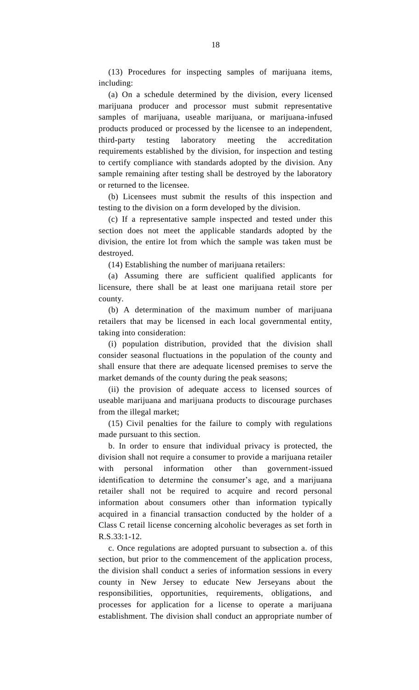(13) Procedures for inspecting samples of marijuana items, including:

(a) On a schedule determined by the division, every licensed marijuana producer and processor must submit representative samples of marijuana, useable marijuana, or marijuana-infused products produced or processed by the licensee to an independent, third-party testing laboratory meeting the accreditation requirements established by the division, for inspection and testing to certify compliance with standards adopted by the division. Any sample remaining after testing shall be destroyed by the laboratory or returned to the licensee.

(b) Licensees must submit the results of this inspection and testing to the division on a form developed by the division.

(c) If a representative sample inspected and tested under this section does not meet the applicable standards adopted by the division, the entire lot from which the sample was taken must be destroyed.

(14) Establishing the number of marijuana retailers:

(a) Assuming there are sufficient qualified applicants for licensure, there shall be at least one marijuana retail store per county.

(b) A determination of the maximum number of marijuana retailers that may be licensed in each local governmental entity, taking into consideration:

(i) population distribution, provided that the division shall consider seasonal fluctuations in the population of the county and shall ensure that there are adequate licensed premises to serve the market demands of the county during the peak seasons;

(ii) the provision of adequate access to licensed sources of useable marijuana and marijuana products to discourage purchases from the illegal market;

(15) Civil penalties for the failure to comply with regulations made pursuant to this section.

b. In order to ensure that individual privacy is protected, the division shall not require a consumer to provide a marijuana retailer with personal information other than government-issued identification to determine the consumer's age, and a marijuana retailer shall not be required to acquire and record personal information about consumers other than information typically acquired in a financial transaction conducted by the holder of a Class C retail license concerning alcoholic beverages as set forth in R.S.33:1-12.

c. Once regulations are adopted pursuant to subsection a. of this section, but prior to the commencement of the application process, the division shall conduct a series of information sessions in every county in New Jersey to educate New Jerseyans about the responsibilities, opportunities, requirements, obligations, and processes for application for a license to operate a marijuana establishment. The division shall conduct an appropriate number of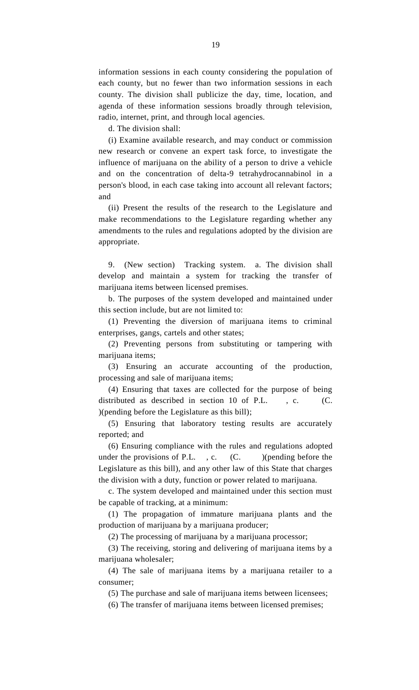information sessions in each county considering the population of each county, but no fewer than two information sessions in each county. The division shall publicize the day, time, location, and agenda of these information sessions broadly through television, radio, internet, print, and through local agencies.

d. The division shall:

(i) Examine available research, and may conduct or commission new research or convene an expert task force, to investigate the influence of marijuana on the ability of a person to drive a vehicle and on the concentration of delta-9 tetrahydrocannabinol in a person's blood, in each case taking into account all relevant factors; and

(ii) Present the results of the research to the Legislature and make recommendations to the Legislature regarding whether any amendments to the rules and regulations adopted by the division are appropriate.

9. (New section) Tracking system. a. The division shall develop and maintain a system for tracking the transfer of marijuana items between licensed premises.

b. The purposes of the system developed and maintained under this section include, but are not limited to:

(1) Preventing the diversion of marijuana items to criminal enterprises, gangs, cartels and other states;

(2) Preventing persons from substituting or tampering with marijuana items;

(3) Ensuring an accurate accounting of the production, processing and sale of marijuana items;

(4) Ensuring that taxes are collected for the purpose of being distributed as described in section 10 of P.L., c. (C. )(pending before the Legislature as this bill);

(5) Ensuring that laboratory testing results are accurately reported; and

(6) Ensuring compliance with the rules and regulations adopted under the provisions of P.L.  $, c.$  (C. ) (pending before the Legislature as this bill), and any other law of this State that charges the division with a duty, function or power related to marijuana.

c. The system developed and maintained under this section must be capable of tracking, at a minimum:

(1) The propagation of immature marijuana plants and the production of marijuana by a marijuana producer;

(2) The processing of marijuana by a marijuana processor;

(3) The receiving, storing and delivering of marijuana items by a marijuana wholesaler;

(4) The sale of marijuana items by a marijuana retailer to a consumer;

(5) The purchase and sale of marijuana items between licensees;

(6) The transfer of marijuana items between licensed premises;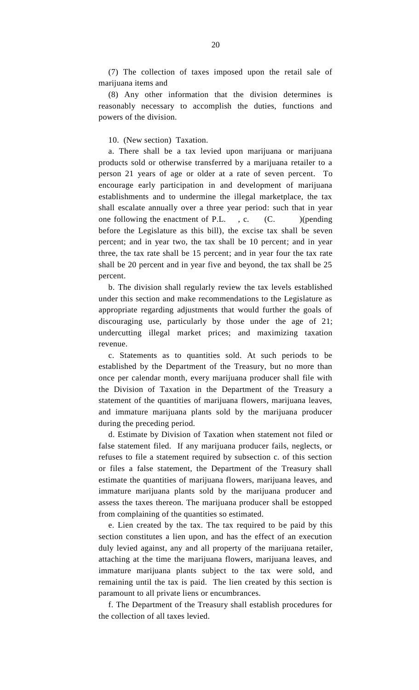(7) The collection of taxes imposed upon the retail sale of marijuana items and

(8) Any other information that the division determines is reasonably necessary to accomplish the duties, functions and powers of the division.

10. (New section) Taxation.

a. There shall be a tax levied upon marijuana or marijuana products sold or otherwise transferred by a marijuana retailer to a person 21 years of age or older at a rate of seven percent. To encourage early participation in and development of marijuana establishments and to undermine the illegal marketplace, the tax shall escalate annually over a three year period: such that in year one following the enactment of P.L.  $, c.$  (C. )(pending before the Legislature as this bill), the excise tax shall be seven percent; and in year two, the tax shall be 10 percent; and in year three, the tax rate shall be 15 percent; and in year four the tax rate shall be 20 percent and in year five and beyond, the tax shall be 25 percent.

b. The division shall regularly review the tax levels established under this section and make recommendations to the Legislature as appropriate regarding adjustments that would further the goals of discouraging use, particularly by those under the age of 21; undercutting illegal market prices; and maximizing taxation revenue.

c. Statements as to quantities sold. At such periods to be established by the Department of the Treasury, but no more than once per calendar month, every marijuana producer shall file with the Division of Taxation in the Department of the Treasury a statement of the quantities of marijuana flowers, marijuana leaves, and immature marijuana plants sold by the marijuana producer during the preceding period.

d. Estimate by Division of Taxation when statement not filed or false statement filed. If any marijuana producer fails, neglects, or refuses to file a statement required by subsection c. of this section or files a false statement, the Department of the Treasury shall estimate the quantities of marijuana flowers, marijuana leaves, and immature marijuana plants sold by the marijuana producer and assess the taxes thereon. The marijuana producer shall be estopped from complaining of the quantities so estimated.

e. Lien created by the tax. The tax required to be paid by this section constitutes a lien upon, and has the effect of an execution duly levied against, any and all property of the marijuana retailer, attaching at the time the marijuana flowers, marijuana leaves, and immature marijuana plants subject to the tax were sold, and remaining until the tax is paid. The lien created by this section is paramount to all private liens or encumbrances.

f. The Department of the Treasury shall establish procedures for the collection of all taxes levied.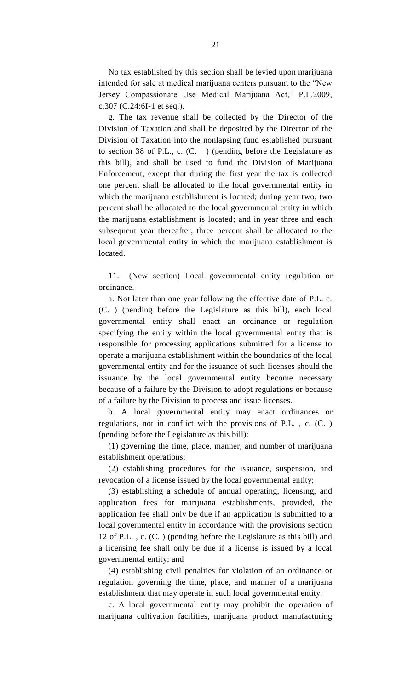No tax established by this section shall be levied upon marijuana intended for sale at medical marijuana centers pursuant to the "New Jersey Compassionate Use Medical Marijuana Act," P.L.2009, c.307 (C.24:6I-1 et seq.).

g. The tax revenue shall be collected by the Director of the Division of Taxation and shall be deposited by the Director of the Division of Taxation into the nonlapsing fund established pursuant to section 38 of P.L., c. (C. ) (pending before the Legislature as this bill), and shall be used to fund the Division of Marijuana Enforcement, except that during the first year the tax is collected one percent shall be allocated to the local governmental entity in which the marijuana establishment is located; during year two, two percent shall be allocated to the local governmental entity in which the marijuana establishment is located; and in year three and each subsequent year thereafter, three percent shall be allocated to the local governmental entity in which the marijuana establishment is located.

11. (New section) Local governmental entity regulation or ordinance.

a. Not later than one year following the effective date of P.L. c. (C. ) (pending before the Legislature as this bill), each local governmental entity shall enact an ordinance or regulation specifying the entity within the local governmental entity that is responsible for processing applications submitted for a license to operate a marijuana establishment within the boundaries of the local governmental entity and for the issuance of such licenses should the issuance by the local governmental entity become necessary because of a failure by the Division to adopt regulations or because of a failure by the Division to process and issue licenses.

b. A local governmental entity may enact ordinances or regulations, not in conflict with the provisions of P.L. , c. (C. ) (pending before the Legislature as this bill):

(1) governing the time, place, manner, and number of marijuana establishment operations;

(2) establishing procedures for the issuance, suspension, and revocation of a license issued by the local governmental entity;

(3) establishing a schedule of annual operating, licensing, and application fees for marijuana establishments, provided, the application fee shall only be due if an application is submitted to a local governmental entity in accordance with the provisions section 12 of P.L. , c. (C. ) (pending before the Legislature as this bill) and a licensing fee shall only be due if a license is issued by a local governmental entity; and

(4) establishing civil penalties for violation of an ordinance or regulation governing the time, place, and manner of a marijuana establishment that may operate in such local governmental entity.

c. A local governmental entity may prohibit the operation of marijuana cultivation facilities, marijuana product manufacturing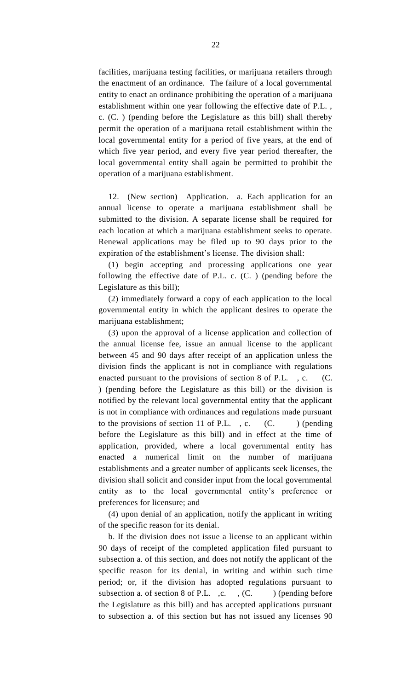facilities, marijuana testing facilities, or marijuana retailers through the enactment of an ordinance. The failure of a local governmental entity to enact an ordinance prohibiting the operation of a marijuana establishment within one year following the effective date of P.L. , c. (C. ) (pending before the Legislature as this bill) shall thereby permit the operation of a marijuana retail establishment within the local governmental entity for a period of five years, at the end of which five year period, and every five year period thereafter, the local governmental entity shall again be permitted to prohibit the operation of a marijuana establishment.

12. (New section) Application. a. Each application for an annual license to operate a marijuana establishment shall be submitted to the division. A separate license shall be required for each location at which a marijuana establishment seeks to operate. Renewal applications may be filed up to 90 days prior to the expiration of the establishment's license. The division shall:

(1) begin accepting and processing applications one year following the effective date of P.L. c. (C. ) (pending before the Legislature as this bill);

(2) immediately forward a copy of each application to the local governmental entity in which the applicant desires to operate the marijuana establishment;

(3) upon the approval of a license application and collection of the annual license fee, issue an annual license to the applicant between 45 and 90 days after receipt of an application unless the division finds the applicant is not in compliance with regulations enacted pursuant to the provisions of section 8 of P.L., c. (C. ) (pending before the Legislature as this bill) or the division is notified by the relevant local governmental entity that the applicant is not in compliance with ordinances and regulations made pursuant to the provisions of section 11 of P.L., c.  $(C.$  ) (pending before the Legislature as this bill) and in effect at the time of application, provided, where a local governmental entity has enacted a numerical limit on the number of marijuana establishments and a greater number of applicants seek licenses, the division shall solicit and consider input from the local governmental entity as to the local governmental entity's preference or preferences for licensure; and

(4) upon denial of an application, notify the applicant in writing of the specific reason for its denial.

b. If the division does not issue a license to an applicant within 90 days of receipt of the completed application filed pursuant to subsection a. of this section, and does not notify the applicant of the specific reason for its denial, in writing and within such time period; or, if the division has adopted regulations pursuant to subsection a. of section 8 of P.L. , c. ,  $(C.$  ) (pending before the Legislature as this bill) and has accepted applications pursuant to subsection a. of this section but has not issued any licenses 90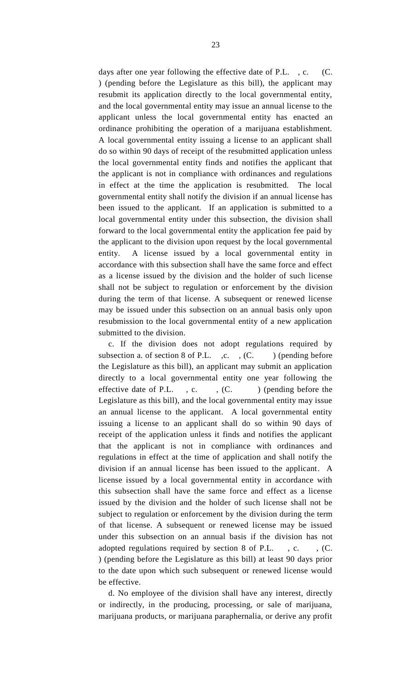days after one year following the effective date of P.L., c. (C. ) (pending before the Legislature as this bill), the applicant may resubmit its application directly to the local governmental entity, and the local governmental entity may issue an annual license to the applicant unless the local governmental entity has enacted an ordinance prohibiting the operation of a marijuana establishment. A local governmental entity issuing a license to an applicant shall do so within 90 days of receipt of the resubmitted application unless the local governmental entity finds and notifies the applicant that the applicant is not in compliance with ordinances and regulations in effect at the time the application is resubmitted. The local governmental entity shall notify the division if an annual license has been issued to the applicant. If an application is submitted to a local governmental entity under this subsection, the division shall forward to the local governmental entity the application fee paid by the applicant to the division upon request by the local governmental entity. A license issued by a local governmental entity in accordance with this subsection shall have the same force and effect as a license issued by the division and the holder of such license shall not be subject to regulation or enforcement by the division during the term of that license. A subsequent or renewed license may be issued under this subsection on an annual basis only upon resubmission to the local governmental entity of a new application submitted to the division.

c. If the division does not adopt regulations required by subsection a. of section 8 of P.L. , c. ,  $(C.$  ) (pending before the Legislature as this bill), an applicant may submit an application directly to a local governmental entity one year following the effective date of P.L.  $, c.$   $, (C.$  ) (pending before the Legislature as this bill), and the local governmental entity may issue an annual license to the applicant. A local governmental entity issuing a license to an applicant shall do so within 90 days of receipt of the application unless it finds and notifies the applicant that the applicant is not in compliance with ordinances and regulations in effect at the time of application and shall notify the division if an annual license has been issued to the applicant. A license issued by a local governmental entity in accordance with this subsection shall have the same force and effect as a license issued by the division and the holder of such license shall not be subject to regulation or enforcement by the division during the term of that license. A subsequent or renewed license may be issued under this subsection on an annual basis if the division has not adopted regulations required by section 8 of P.L., c., C. ) (pending before the Legislature as this bill) at least 90 days prior to the date upon which such subsequent or renewed license would be effective.

d. No employee of the division shall have any interest, directly or indirectly, in the producing, processing, or sale of marijuana, marijuana products, or marijuana paraphernalia, or derive any profit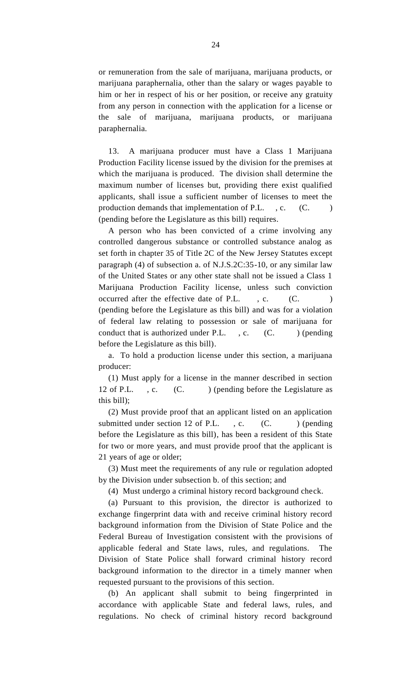or remuneration from the sale of marijuana, marijuana products, or marijuana paraphernalia, other than the salary or wages payable to him or her in respect of his or her position, or receive any gratuity from any person in connection with the application for a license or the sale of marijuana, marijuana products, or marijuana paraphernalia.

13. A marijuana producer must have a Class 1 Marijuana Production Facility license issued by the division for the premises at which the marijuana is produced. The division shall determine the maximum number of licenses but, providing there exist qualified applicants, shall issue a sufficient number of licenses to meet the production demands that implementation of P.L. , c. (C. ) (pending before the Legislature as this bill) requires.

A person who has been convicted of a crime involving any controlled dangerous substance or controlled substance analog as set forth in chapter 35 of Title 2C of the New Jersey Statutes except paragraph (4) of subsection a. of N.J.S.2C:35-10, or any similar law of the United States or any other state shall not be issued a Class 1 Marijuana Production Facility license, unless such conviction occurred after the effective date of P.L.  $\,$ , c.  $\,$  (C.  $\,$  ) (pending before the Legislature as this bill) and was for a violation of federal law relating to possession or sale of marijuana for conduct that is authorized under P.L.  $, c.$  (C. ) (pending before the Legislature as this bill).

a. To hold a production license under this section, a marijuana producer:

(1) Must apply for a license in the manner described in section 12 of P.L. , c. (C. ) (pending before the Legislature as this bill);

(2) Must provide proof that an applicant listed on an application submitted under section 12 of P.L.  $\ldots$ , c.  $(C.$  ) (pending before the Legislature as this bill), has been a resident of this State for two or more years, and must provide proof that the applicant is 21 years of age or older;

(3) Must meet the requirements of any rule or regulation adopted by the Division under subsection b. of this section; and

(4) Must undergo a criminal history record background check.

(a) Pursuant to this provision, the director is authorized to exchange fingerprint data with and receive criminal history record background information from the Division of State Police and the Federal Bureau of Investigation consistent with the provisions of applicable federal and State laws, rules, and regulations. The Division of State Police shall forward criminal history record background information to the director in a timely manner when requested pursuant to the provisions of this section.

(b) An applicant shall submit to being fingerprinted in accordance with applicable State and federal laws, rules, and regulations. No check of criminal history record background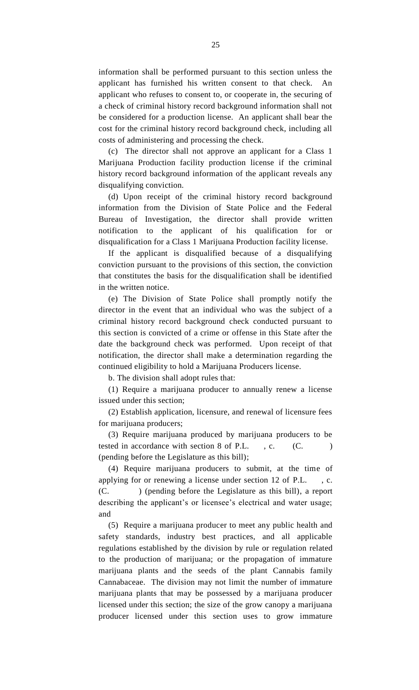information shall be performed pursuant to this section unless the applicant has furnished his written consent to that check. An applicant who refuses to consent to, or cooperate in, the securing of a check of criminal history record background information shall not be considered for a production license. An applicant shall bear the cost for the criminal history record background check, including all costs of administering and processing the check.

(c) The director shall not approve an applicant for a Class 1 Marijuana Production facility production license if the criminal history record background information of the applicant reveals any disqualifying conviction.

(d) Upon receipt of the criminal history record background information from the Division of State Police and the Federal Bureau of Investigation, the director shall provide written notification to the applicant of his qualification for or disqualification for a Class 1 Marijuana Production facility license.

If the applicant is disqualified because of a disqualifying conviction pursuant to the provisions of this section, the conviction that constitutes the basis for the disqualification shall be identified in the written notice.

(e) The Division of State Police shall promptly notify the director in the event that an individual who was the subject of a criminal history record background check conducted pursuant to this section is convicted of a crime or offense in this State after the date the background check was performed. Upon receipt of that notification, the director shall make a determination regarding the continued eligibility to hold a Marijuana Producers license.

b. The division shall adopt rules that:

(1) Require a marijuana producer to annually renew a license issued under this section;

(2) Establish application, licensure, and renewal of licensure fees for marijuana producers;

(3) Require marijuana produced by marijuana producers to be tested in accordance with section  $8$  of P.L. c.  $(C.$   $(C.$ (pending before the Legislature as this bill);

(4) Require marijuana producers to submit, at the time of applying for or renewing a license under section 12 of P.L. , c. (C. ) (pending before the Legislature as this bill), a report describing the applicant's or licensee's electrical and water usage; and

(5) Require a marijuana producer to meet any public health and safety standards, industry best practices, and all applicable regulations established by the division by rule or regulation related to the production of marijuana; or the propagation of immature marijuana plants and the seeds of the plant Cannabis family Cannabaceae. The division may not limit the number of immature marijuana plants that may be possessed by a marijuana producer licensed under this section; the size of the grow canopy a marijuana producer licensed under this section uses to grow immature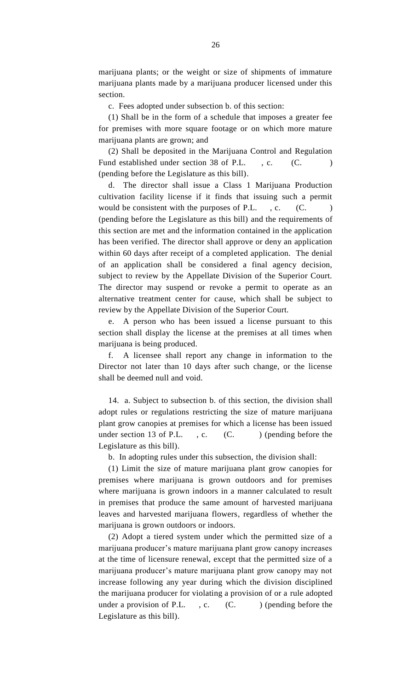marijuana plants; or the weight or size of shipments of immature marijuana plants made by a marijuana producer licensed under this section.

c. Fees adopted under subsection b. of this section:

(1) Shall be in the form of a schedule that imposes a greater fee for premises with more square footage or on which more mature marijuana plants are grown; and

(2) Shall be deposited in the Marijuana Control and Regulation Fund established under section 38 of P.L., c. (C. ) (pending before the Legislature as this bill).

d. The director shall issue a Class 1 Marijuana Production cultivation facility license if it finds that issuing such a permit would be consistent with the purposes of P.L.  $, c.$  (C. ) (pending before the Legislature as this bill) and the requirements of this section are met and the information contained in the application has been verified. The director shall approve or deny an application within 60 days after receipt of a completed application. The denial of an application shall be considered a final agency decision, subject to review by the Appellate Division of the Superior Court. The director may suspend or revoke a permit to operate as an alternative treatment center for cause, which shall be subject to review by the Appellate Division of the Superior Court.

e. A person who has been issued a license pursuant to this section shall display the license at the premises at all times when marijuana is being produced.

f. A licensee shall report any change in information to the Director not later than 10 days after such change, or the license shall be deemed null and void.

14. a. Subject to subsection b. of this section, the division shall adopt rules or regulations restricting the size of mature marijuana plant grow canopies at premises for which a license has been issued under section 13 of P.L.  $\ldots$ , c.  $(C.$  ) (pending before the Legislature as this bill).

b. In adopting rules under this subsection, the division shall:

(1) Limit the size of mature marijuana plant grow canopies for premises where marijuana is grown outdoors and for premises where marijuana is grown indoors in a manner calculated to result in premises that produce the same amount of harvested marijuana leaves and harvested marijuana flowers, regardless of whether the marijuana is grown outdoors or indoors.

(2) Adopt a tiered system under which the permitted size of a marijuana producer's mature marijuana plant grow canopy increases at the time of licensure renewal, except that the permitted size of a marijuana producer's mature marijuana plant grow canopy may not increase following any year during which the division disciplined the marijuana producer for violating a provision of or a rule adopted under a provision of P.L.  $\cdot$ , c.  $\cdot$  (C. ) (pending before the Legislature as this bill).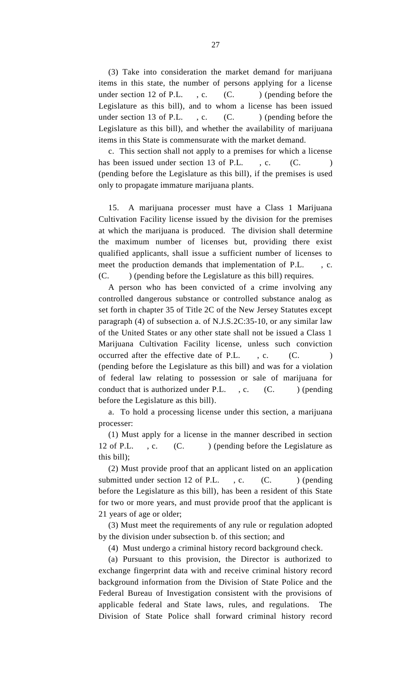(3) Take into consideration the market demand for marijuana items in this state, the number of persons applying for a license under section 12 of P.L.  $\ldots$ , c.  $(C.$  ) (pending before the Legislature as this bill), and to whom a license has been issued under section 13 of P.L.  $\cdot$ , c.  $(C.$  ) (pending before the Legislature as this bill), and whether the availability of marijuana items in this State is commensurate with the market demand.

c. This section shall not apply to a premises for which a license has been issued under section 13 of P.L., c. (C. ) (pending before the Legislature as this bill), if the premises is used only to propagate immature marijuana plants.

15. A marijuana processer must have a Class 1 Marijuana Cultivation Facility license issued by the division for the premises at which the marijuana is produced. The division shall determine the maximum number of licenses but, providing there exist qualified applicants, shall issue a sufficient number of licenses to meet the production demands that implementation of P.L., c. (C. ) (pending before the Legislature as this bill) requires.

A person who has been convicted of a crime involving any controlled dangerous substance or controlled substance analog as set forth in chapter 35 of Title 2C of the New Jersey Statutes except paragraph (4) of subsection a. of N.J.S.2C:35-10, or any similar law of the United States or any other state shall not be issued a Class 1 Marijuana Cultivation Facility license, unless such conviction occurred after the effective date of P.L.  $, c.$  (C. ) (pending before the Legislature as this bill) and was for a violation of federal law relating to possession or sale of marijuana for conduct that is authorized under P.L.  $, c.$  (C. ) (pending before the Legislature as this bill).

a. To hold a processing license under this section, a marijuana processer:

(1) Must apply for a license in the manner described in section 12 of P.L.  $\cdot$ , c.  $\cdot$  (C. ) (pending before the Legislature as this bill);

(2) Must provide proof that an applicant listed on an application submitted under section 12 of P.L.  $\ldots$  (C. ) (pending before the Legislature as this bill), has been a resident of this State for two or more years, and must provide proof that the applicant is 21 years of age or older;

(3) Must meet the requirements of any rule or regulation adopted by the division under subsection b. of this section; and

(4) Must undergo a criminal history record background check.

(a) Pursuant to this provision, the Director is authorized to exchange fingerprint data with and receive criminal history record background information from the Division of State Police and the Federal Bureau of Investigation consistent with the provisions of applicable federal and State laws, rules, and regulations. The Division of State Police shall forward criminal history record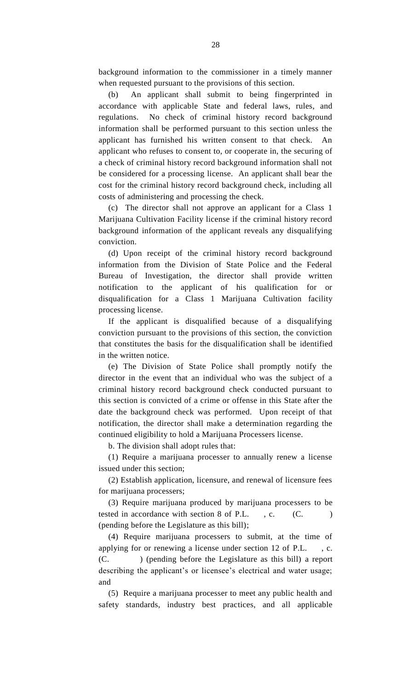background information to the commissioner in a timely manner when requested pursuant to the provisions of this section.

(b) An applicant shall submit to being fingerprinted in accordance with applicable State and federal laws, rules, and regulations. No check of criminal history record background information shall be performed pursuant to this section unless the applicant has furnished his written consent to that check. applicant who refuses to consent to, or cooperate in, the securing of a check of criminal history record background information shall not be considered for a processing license. An applicant shall bear the cost for the criminal history record background check, including all costs of administering and processing the check.

(c) The director shall not approve an applicant for a Class 1 Marijuana Cultivation Facility license if the criminal history record background information of the applicant reveals any disqualifying conviction.

(d) Upon receipt of the criminal history record background information from the Division of State Police and the Federal Bureau of Investigation, the director shall provide written notification to the applicant of his qualification for or disqualification for a Class 1 Marijuana Cultivation facility processing license.

If the applicant is disqualified because of a disqualifying conviction pursuant to the provisions of this section, the conviction that constitutes the basis for the disqualification shall be identified in the written notice.

(e) The Division of State Police shall promptly notify the director in the event that an individual who was the subject of a criminal history record background check conducted pursuant to this section is convicted of a crime or offense in this State after the date the background check was performed. Upon receipt of that notification, the director shall make a determination regarding the continued eligibility to hold a Marijuana Processers license.

b. The division shall adopt rules that:

(1) Require a marijuana processer to annually renew a license issued under this section;

(2) Establish application, licensure, and renewal of licensure fees for marijuana processers;

(3) Require marijuana produced by marijuana processers to be tested in accordance with section 8 of P.L. , c. (C. ) (pending before the Legislature as this bill);

(4) Require marijuana processers to submit, at the time of applying for or renewing a license under section 12 of P.L. , c. (C. ) (pending before the Legislature as this bill) a report describing the applicant's or licensee's electrical and water usage; and

(5) Require a marijuana processer to meet any public health and safety standards, industry best practices, and all applicable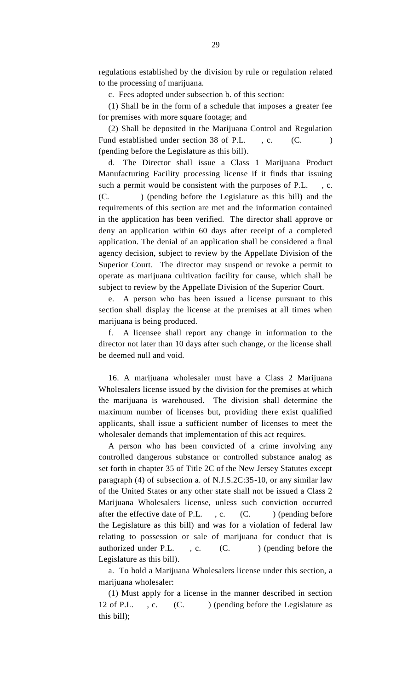regulations established by the division by rule or regulation related to the processing of marijuana.

c. Fees adopted under subsection b. of this section:

(1) Shall be in the form of a schedule that imposes a greater fee for premises with more square footage; and

(2) Shall be deposited in the Marijuana Control and Regulation Fund established under section 38 of P.L., c. (C. ) (pending before the Legislature as this bill).

d. The Director shall issue a Class 1 Marijuana Product Manufacturing Facility processing license if it finds that issuing such a permit would be consistent with the purposes of P.L., c. (C. ) (pending before the Legislature as this bill) and the requirements of this section are met and the information contained in the application has been verified. The director shall approve or deny an application within 60 days after receipt of a completed application. The denial of an application shall be considered a final agency decision, subject to review by the Appellate Division of the Superior Court. The director may suspend or revoke a permit to operate as marijuana cultivation facility for cause, which shall be subject to review by the Appellate Division of the Superior Court.

e. A person who has been issued a license pursuant to this section shall display the license at the premises at all times when marijuana is being produced.

f. A licensee shall report any change in information to the director not later than 10 days after such change, or the license shall be deemed null and void.

16. A marijuana wholesaler must have a Class 2 Marijuana Wholesalers license issued by the division for the premises at which the marijuana is warehoused. The division shall determine the maximum number of licenses but, providing there exist qualified applicants, shall issue a sufficient number of licenses to meet the wholesaler demands that implementation of this act requires.

A person who has been convicted of a crime involving any controlled dangerous substance or controlled substance analog as set forth in chapter 35 of Title 2C of the New Jersey Statutes except paragraph (4) of subsection a. of N.J.S.2C:35-10, or any similar law of the United States or any other state shall not be issued a Class 2 Marijuana Wholesalers license, unless such conviction occurred after the effective date of P.L.  $\cdot$ , c.  $\cdot$  (C. ) (pending before the Legislature as this bill) and was for a violation of federal law relating to possession or sale of marijuana for conduct that is authorized under P.L., c. (C.) (pending before the Legislature as this bill).

a. To hold a Marijuana Wholesalers license under this section, a marijuana wholesaler:

(1) Must apply for a license in the manner described in section 12 of P.L.  $\cdot$ , c.  $(C.$  ) (pending before the Legislature as this bill);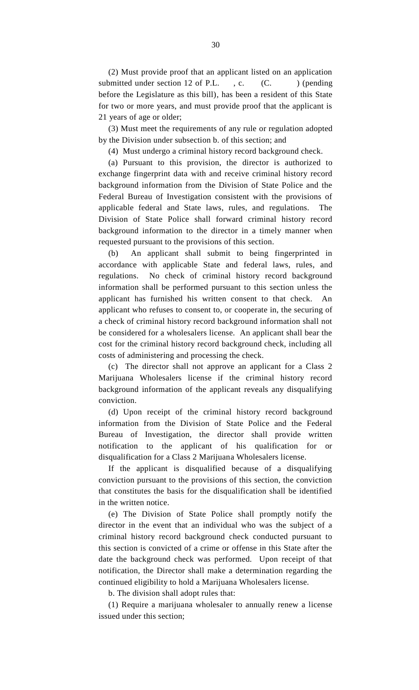(2) Must provide proof that an applicant listed on an application submitted under section 12 of P.L.  $\ldots$ , c.  $(C.$  ) (pending before the Legislature as this bill), has been a resident of this State for two or more years, and must provide proof that the applicant is 21 years of age or older;

(3) Must meet the requirements of any rule or regulation adopted by the Division under subsection b. of this section; and

(4) Must undergo a criminal history record background check.

(a) Pursuant to this provision, the director is authorized to exchange fingerprint data with and receive criminal history record background information from the Division of State Police and the Federal Bureau of Investigation consistent with the provisions of applicable federal and State laws, rules, and regulations. The Division of State Police shall forward criminal history record background information to the director in a timely manner when requested pursuant to the provisions of this section.

(b) An applicant shall submit to being fingerprinted in accordance with applicable State and federal laws, rules, and regulations. No check of criminal history record background information shall be performed pursuant to this section unless the applicant has furnished his written consent to that check. An applicant who refuses to consent to, or cooperate in, the securing of a check of criminal history record background information shall not be considered for a wholesalers license. An applicant shall bear the cost for the criminal history record background check, including all costs of administering and processing the check.

(c) The director shall not approve an applicant for a Class 2 Marijuana Wholesalers license if the criminal history record background information of the applicant reveals any disqualifying conviction.

(d) Upon receipt of the criminal history record background information from the Division of State Police and the Federal Bureau of Investigation, the director shall provide written notification to the applicant of his qualification for or disqualification for a Class 2 Marijuana Wholesalers license.

If the applicant is disqualified because of a disqualifying conviction pursuant to the provisions of this section, the conviction that constitutes the basis for the disqualification shall be identified in the written notice.

(e) The Division of State Police shall promptly notify the director in the event that an individual who was the subject of a criminal history record background check conducted pursuant to this section is convicted of a crime or offense in this State after the date the background check was performed. Upon receipt of that notification, the Director shall make a determination regarding the continued eligibility to hold a Marijuana Wholesalers license.

b. The division shall adopt rules that:

(1) Require a marijuana wholesaler to annually renew a license issued under this section;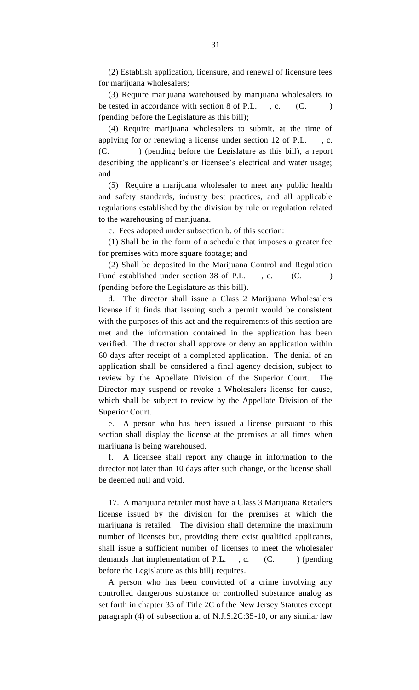(2) Establish application, licensure, and renewal of licensure fees for marijuana wholesalers;

(3) Require marijuana warehoused by marijuana wholesalers to be tested in accordance with section 8 of P.L. , c. (C. ) (pending before the Legislature as this bill);

(4) Require marijuana wholesalers to submit, at the time of applying for or renewing a license under section 12 of P.L. , c. (C. ) (pending before the Legislature as this bill), a report describing the applicant's or licensee's electrical and water usage; and

(5) Require a marijuana wholesaler to meet any public health and safety standards, industry best practices, and all applicable regulations established by the division by rule or regulation related to the warehousing of marijuana.

c. Fees adopted under subsection b. of this section:

(1) Shall be in the form of a schedule that imposes a greater fee for premises with more square footage; and

(2) Shall be deposited in the Marijuana Control and Regulation Fund established under section 38 of P.L., c. (C. ) (pending before the Legislature as this bill).

d. The director shall issue a Class 2 Marijuana Wholesalers license if it finds that issuing such a permit would be consistent with the purposes of this act and the requirements of this section are met and the information contained in the application has been verified. The director shall approve or deny an application within 60 days after receipt of a completed application. The denial of an application shall be considered a final agency decision, subject to review by the Appellate Division of the Superior Court. The Director may suspend or revoke a Wholesalers license for cause, which shall be subject to review by the Appellate Division of the Superior Court.

e. A person who has been issued a license pursuant to this section shall display the license at the premises at all times when marijuana is being warehoused.

f. A licensee shall report any change in information to the director not later than 10 days after such change, or the license shall be deemed null and void.

17. A marijuana retailer must have a Class 3 Marijuana Retailers license issued by the division for the premises at which the marijuana is retailed. The division shall determine the maximum number of licenses but, providing there exist qualified applicants, shall issue a sufficient number of licenses to meet the wholesaler demands that implementation of P.L.  $, c.$  (C. ) (pending before the Legislature as this bill) requires.

A person who has been convicted of a crime involving any controlled dangerous substance or controlled substance analog as set forth in chapter 35 of Title 2C of the New Jersey Statutes except paragraph (4) of subsection a. of N.J.S.2C:35-10, or any similar law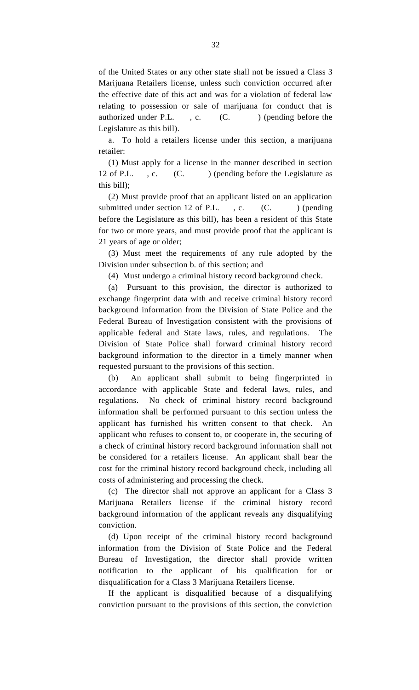of the United States or any other state shall not be issued a Class 3 Marijuana Retailers license, unless such conviction occurred after the effective date of this act and was for a violation of federal law relating to possession or sale of marijuana for conduct that is authorized under P.L., c. (C.) (pending before the Legislature as this bill).

a. To hold a retailers license under this section, a marijuana retailer:

(1) Must apply for a license in the manner described in section 12 of P.L. , c. (C. ) (pending before the Legislature as this bill);

(2) Must provide proof that an applicant listed on an application submitted under section 12 of P.L.  $\ldots$ , c.  $(C.$  ) (pending before the Legislature as this bill), has been a resident of this State for two or more years, and must provide proof that the applicant is 21 years of age or older;

(3) Must meet the requirements of any rule adopted by the Division under subsection b. of this section; and

(4) Must undergo a criminal history record background check.

(a) Pursuant to this provision, the director is authorized to exchange fingerprint data with and receive criminal history record background information from the Division of State Police and the Federal Bureau of Investigation consistent with the provisions of applicable federal and State laws, rules, and regulations. The Division of State Police shall forward criminal history record background information to the director in a timely manner when requested pursuant to the provisions of this section.

(b) An applicant shall submit to being fingerprinted in accordance with applicable State and federal laws, rules, and regulations. No check of criminal history record background information shall be performed pursuant to this section unless the applicant has furnished his written consent to that check. An applicant who refuses to consent to, or cooperate in, the securing of a check of criminal history record background information shall not be considered for a retailers license. An applicant shall bear the cost for the criminal history record background check, including all costs of administering and processing the check.

(c) The director shall not approve an applicant for a Class 3 Marijuana Retailers license if the criminal history record background information of the applicant reveals any disqualifying conviction.

(d) Upon receipt of the criminal history record background information from the Division of State Police and the Federal Bureau of Investigation, the director shall provide written notification to the applicant of his qualification for or disqualification for a Class 3 Marijuana Retailers license.

If the applicant is disqualified because of a disqualifying conviction pursuant to the provisions of this section, the conviction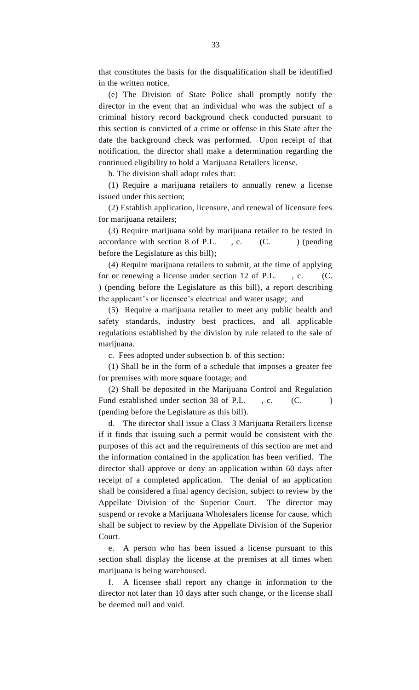that constitutes the basis for the disqualification shall be identified in the written notice.

(e) The Division of State Police shall promptly notify the director in the event that an individual who was the subject of a criminal history record background check conducted pursuant to this section is convicted of a crime or offense in this State after the date the background check was performed. Upon receipt of that notification, the director shall make a determination regarding the continued eligibility to hold a Marijuana Retailers license.

b. The division shall adopt rules that:

(1) Require a marijuana retailers to annually renew a license issued under this section;

(2) Establish application, licensure, and renewal of licensure fees for marijuana retailers;

(3) Require marijuana sold by marijuana retailer to be tested in accordance with section  $8$  of P.L., c.  $(C.$  ) (pending before the Legislature as this bill);

(4) Require marijuana retailers to submit, at the time of applying for or renewing a license under section 12 of P.L., c. (C. ) (pending before the Legislature as this bill), a report describing the applicant's or licensee's electrical and water usage; and

(5) Require a marijuana retailer to meet any public health and safety standards, industry best practices, and all applicable regulations established by the division by rule related to the sale of marijuana.

c. Fees adopted under subsection b. of this section:

(1) Shall be in the form of a schedule that imposes a greater fee for premises with more square footage; and

(2) Shall be deposited in the Marijuana Control and Regulation Fund established under section 38 of P.L., c. (C. ) (pending before the Legislature as this bill).

d. The director shall issue a Class 3 Marijuana Retailers license if it finds that issuing such a permit would be consistent with the purposes of this act and the requirements of this section are met and the information contained in the application has been verified. The director shall approve or deny an application within 60 days after receipt of a completed application. The denial of an application shall be considered a final agency decision, subject to review by the Appellate Division of the Superior Court. The director may suspend or revoke a Marijuana Wholesalers license for cause, which shall be subject to review by the Appellate Division of the Superior Court.

e. A person who has been issued a license pursuant to this section shall display the license at the premises at all times when marijuana is being warehoused.

f. A licensee shall report any change in information to the director not later than 10 days after such change, or the license shall be deemed null and void.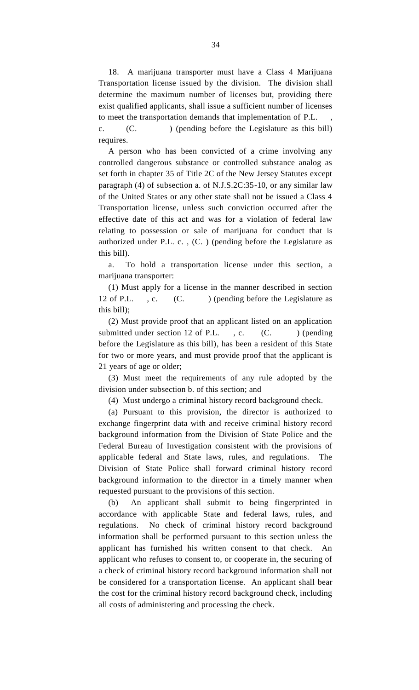18. A marijuana transporter must have a Class 4 Marijuana Transportation license issued by the division. The division shall determine the maximum number of licenses but, providing there exist qualified applicants, shall issue a sufficient number of licenses to meet the transportation demands that implementation of P.L. ,

c. (C. ) (pending before the Legislature as this bill) requires.

A person who has been convicted of a crime involving any controlled dangerous substance or controlled substance analog as set forth in chapter 35 of Title 2C of the New Jersey Statutes except paragraph (4) of subsection a. of N.J.S.2C:35-10, or any similar law of the United States or any other state shall not be issued a Class 4 Transportation license, unless such conviction occurred after the effective date of this act and was for a violation of federal law relating to possession or sale of marijuana for conduct that is authorized under P.L. c. , (C. ) (pending before the Legislature as this bill).

a. To hold a transportation license under this section, a marijuana transporter:

(1) Must apply for a license in the manner described in section 12 of P.L.  $\cdot$ , c.  $(C.$  ) (pending before the Legislature as this bill);

(2) Must provide proof that an applicant listed on an application submitted under section 12 of P.L.  $\ldots$ , c.  $(C.$  ) (pending before the Legislature as this bill), has been a resident of this State for two or more years, and must provide proof that the applicant is 21 years of age or older;

(3) Must meet the requirements of any rule adopted by the division under subsection b. of this section; and

(4) Must undergo a criminal history record background check.

(a) Pursuant to this provision, the director is authorized to exchange fingerprint data with and receive criminal history record background information from the Division of State Police and the Federal Bureau of Investigation consistent with the provisions of applicable federal and State laws, rules, and regulations. The Division of State Police shall forward criminal history record background information to the director in a timely manner when requested pursuant to the provisions of this section.

(b) An applicant shall submit to being fingerprinted in accordance with applicable State and federal laws, rules, and regulations. No check of criminal history record background information shall be performed pursuant to this section unless the applicant has furnished his written consent to that check. An applicant who refuses to consent to, or cooperate in, the securing of a check of criminal history record background information shall not be considered for a transportation license. An applicant shall bear the cost for the criminal history record background check, including all costs of administering and processing the check.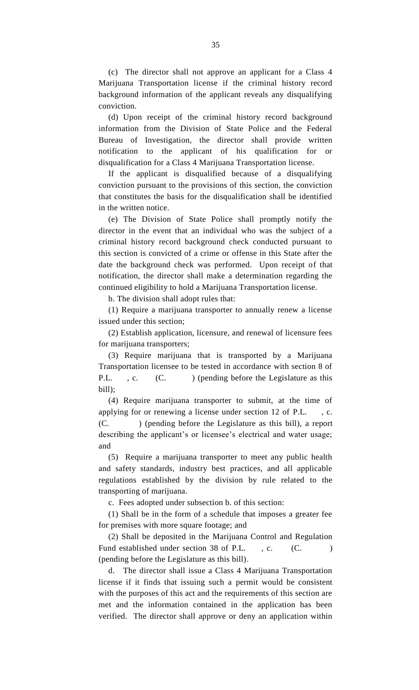(c) The director shall not approve an applicant for a Class 4 Marijuana Transportation license if the criminal history record background information of the applicant reveals any disqualifying conviction.

(d) Upon receipt of the criminal history record background information from the Division of State Police and the Federal Bureau of Investigation, the director shall provide written notification to the applicant of his qualification for or disqualification for a Class 4 Marijuana Transportation license.

If the applicant is disqualified because of a disqualifying conviction pursuant to the provisions of this section, the conviction that constitutes the basis for the disqualification shall be identified in the written notice.

(e) The Division of State Police shall promptly notify the director in the event that an individual who was the subject of a criminal history record background check conducted pursuant to this section is convicted of a crime or offense in this State after the date the background check was performed. Upon receipt of that notification, the director shall make a determination regarding the continued eligibility to hold a Marijuana Transportation license.

b. The division shall adopt rules that:

(1) Require a marijuana transporter to annually renew a license issued under this section;

(2) Establish application, licensure, and renewal of licensure fees for marijuana transporters;

(3) Require marijuana that is transported by a Marijuana Transportation licensee to be tested in accordance with section 8 of P.L. , c. (C. ) (pending before the Legislature as this bill);

(4) Require marijuana transporter to submit, at the time of applying for or renewing a license under section 12 of P.L. , c. (C. ) (pending before the Legislature as this bill), a report describing the applicant's or licensee's electrical and water usage; and

(5) Require a marijuana transporter to meet any public health and safety standards, industry best practices, and all applicable regulations established by the division by rule related to the transporting of marijuana.

c. Fees adopted under subsection b. of this section:

(1) Shall be in the form of a schedule that imposes a greater fee for premises with more square footage; and

(2) Shall be deposited in the Marijuana Control and Regulation Fund established under section 38 of P.L., c. (C. ) (pending before the Legislature as this bill).

d. The director shall issue a Class 4 Marijuana Transportation license if it finds that issuing such a permit would be consistent with the purposes of this act and the requirements of this section are met and the information contained in the application has been verified. The director shall approve or deny an application within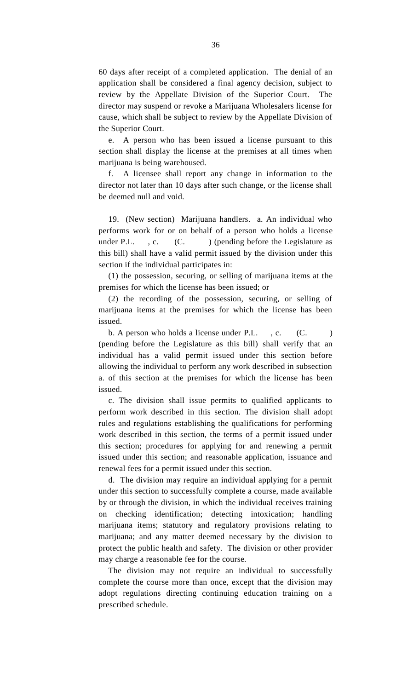60 days after receipt of a completed application. The denial of an application shall be considered a final agency decision, subject to review by the Appellate Division of the Superior Court. The director may suspend or revoke a Marijuana Wholesalers license for cause, which shall be subject to review by the Appellate Division of the Superior Court.

e. A person who has been issued a license pursuant to this section shall display the license at the premises at all times when marijuana is being warehoused.

f. A licensee shall report any change in information to the director not later than 10 days after such change, or the license shall be deemed null and void.

19. (New section) Marijuana handlers. a. An individual who performs work for or on behalf of a person who holds a license under P.L.  $\cdot$ , c.  $\cdot$  (C. ) (pending before the Legislature as this bill) shall have a valid permit issued by the division under this section if the individual participates in:

(1) the possession, securing, or selling of marijuana items at the premises for which the license has been issued; or

(2) the recording of the possession, securing, or selling of marijuana items at the premises for which the license has been issued.

b. A person who holds a license under P.L.  $, c.$  (C. ) (pending before the Legislature as this bill) shall verify that an individual has a valid permit issued under this section before allowing the individual to perform any work described in subsection a. of this section at the premises for which the license has been issued.

c. The division shall issue permits to qualified applicants to perform work described in this section. The division shall adopt rules and regulations establishing the qualifications for performing work described in this section, the terms of a permit issued under this section; procedures for applying for and renewing a permit issued under this section; and reasonable application, issuance and renewal fees for a permit issued under this section.

d. The division may require an individual applying for a permit under this section to successfully complete a course, made available by or through the division, in which the individual receives training on checking identification; detecting intoxication; handling marijuana items; statutory and regulatory provisions relating to marijuana; and any matter deemed necessary by the division to protect the public health and safety. The division or other provider may charge a reasonable fee for the course.

The division may not require an individual to successfully complete the course more than once, except that the division may adopt regulations directing continuing education training on a prescribed schedule.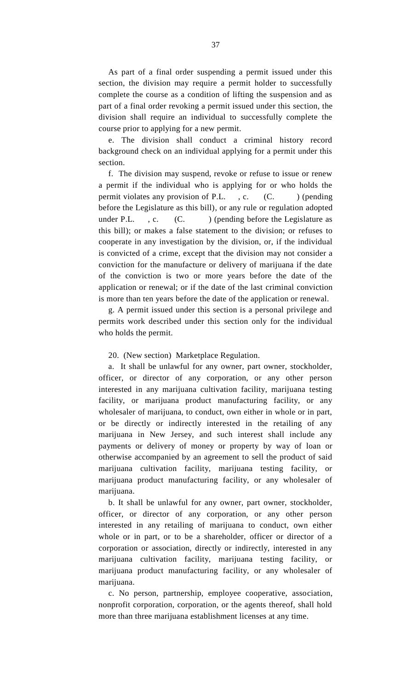As part of a final order suspending a permit issued under this section, the division may require a permit holder to successfully complete the course as a condition of lifting the suspension and as part of a final order revoking a permit issued under this section, the division shall require an individual to successfully complete the course prior to applying for a new permit.

e. The division shall conduct a criminal history record background check on an individual applying for a permit under this section.

f. The division may suspend, revoke or refuse to issue or renew a permit if the individual who is applying for or who holds the permit violates any provision of P.L., c. (C. ) (pending before the Legislature as this bill), or any rule or regulation adopted under P.L.  $\ldots$ , c.  $(C.$  ) (pending before the Legislature as this bill); or makes a false statement to the division; or refuses to cooperate in any investigation by the division, or, if the individual is convicted of a crime, except that the division may not consider a conviction for the manufacture or delivery of marijuana if the date of the conviction is two or more years before the date of the application or renewal; or if the date of the last criminal conviction is more than ten years before the date of the application or renewal.

g. A permit issued under this section is a personal privilege and permits work described under this section only for the individual who holds the permit.

20. (New section) Marketplace Regulation.

a. It shall be unlawful for any owner, part owner, stockholder, officer, or director of any corporation, or any other person interested in any marijuana cultivation facility, marijuana testing facility, or marijuana product manufacturing facility, or any wholesaler of marijuana, to conduct, own either in whole or in part, or be directly or indirectly interested in the retailing of any marijuana in New Jersey, and such interest shall include any payments or delivery of money or property by way of loan or otherwise accompanied by an agreement to sell the product of said marijuana cultivation facility, marijuana testing facility, or marijuana product manufacturing facility, or any wholesaler of marijuana.

b. It shall be unlawful for any owner, part owner, stockholder, officer, or director of any corporation, or any other person interested in any retailing of marijuana to conduct, own either whole or in part, or to be a shareholder, officer or director of a corporation or association, directly or indirectly, interested in any marijuana cultivation facility, marijuana testing facility, or marijuana product manufacturing facility, or any wholesaler of marijuana.

c. No person, partnership, employee cooperative, association, nonprofit corporation, corporation, or the agents thereof, shall hold more than three marijuana establishment licenses at any time.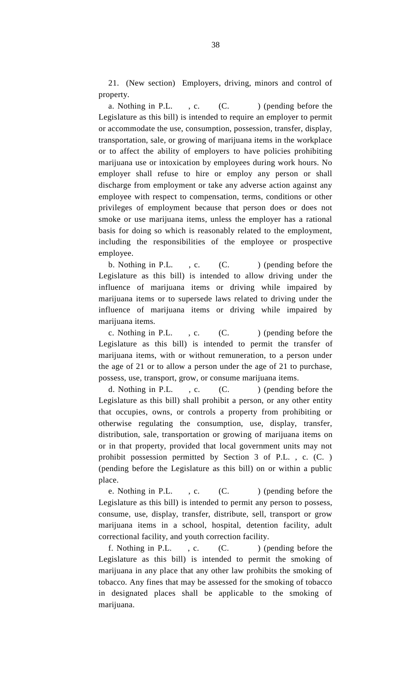21. (New section) Employers, driving, minors and control of property.

a. Nothing in P.L. , c. (C. ) (pending before the Legislature as this bill) is intended to require an employer to permit or accommodate the use, consumption, possession, transfer, display, transportation, sale, or growing of marijuana items in the workplace or to affect the ability of employers to have policies prohibiting marijuana use or intoxication by employees during work hours. No employer shall refuse to hire or employ any person or shall discharge from employment or take any adverse action against any employee with respect to compensation, terms, conditions or other privileges of employment because that person does or does not smoke or use marijuana items, unless the employer has a rational basis for doing so which is reasonably related to the employment, including the responsibilities of the employee or prospective employee.

b. Nothing in P.L. , c. (C. ) (pending before the Legislature as this bill) is intended to allow driving under the influence of marijuana items or driving while impaired by marijuana items or to supersede laws related to driving under the influence of marijuana items or driving while impaired by marijuana items.

c. Nothing in P.L.  $\ldots$ , c.  $(C.$   $)$  (pending before the Legislature as this bill) is intended to permit the transfer of marijuana items, with or without remuneration, to a person under the age of 21 or to allow a person under the age of 21 to purchase, possess, use, transport, grow, or consume marijuana items.

d. Nothing in P.L. , c. (C. ) (pending before the Legislature as this bill) shall prohibit a person, or any other entity that occupies, owns, or controls a property from prohibiting or otherwise regulating the consumption, use, display, transfer, distribution, sale, transportation or growing of marijuana items on or in that property, provided that local government units may not prohibit possession permitted by Section 3 of P.L. , c. (C. ) (pending before the Legislature as this bill) on or within a public place.

e. Nothing in P.L.  $\ldots$ , c.  $(C.$   $)$  (pending before the Legislature as this bill) is intended to permit any person to possess, consume, use, display, transfer, distribute, sell, transport or grow marijuana items in a school, hospital, detention facility, adult correctional facility, and youth correction facility.

f. Nothing in P.L. , c. (C. ) (pending before the Legislature as this bill) is intended to permit the smoking of marijuana in any place that any other law prohibits the smoking of tobacco. Any fines that may be assessed for the smoking of tobacco in designated places shall be applicable to the smoking of marijuana.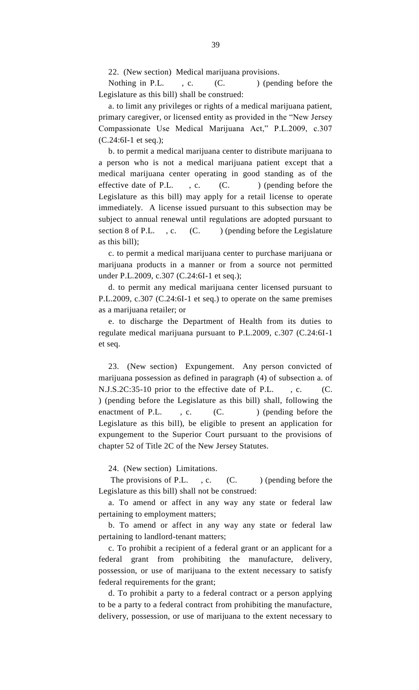22. (New section) Medical marijuana provisions.

Nothing in P.L. , c. (C. ) (pending before the Legislature as this bill) shall be construed:

a. to limit any privileges or rights of a medical marijuana patient, primary caregiver, or licensed entity as provided in the "New Jersey Compassionate Use Medical Marijuana Act," P.L.2009, c.307 (C.24:6I-1 et seq.);

b. to permit a medical marijuana center to distribute marijuana to a person who is not a medical marijuana patient except that a medical marijuana center operating in good standing as of the effective date of P.L.  $\phantom{a}$ , c.  $\phantom{a}$  (C. ) (pending before the Legislature as this bill) may apply for a retail license to operate immediately. A license issued pursuant to this subsection may be subject to annual renewal until regulations are adopted pursuant to section 8 of P.L.  $, c.$  (C. ) (pending before the Legislature as this bill);

c. to permit a medical marijuana center to purchase marijuana or marijuana products in a manner or from a source not permitted under P.L.2009, c.307 (C.24:6I-1 et seq.);

d. to permit any medical marijuana center licensed pursuant to P.L.2009, c.307 (C.24:6I-1 et seq.) to operate on the same premises as a marijuana retailer; or

e. to discharge the Department of Health from its duties to regulate medical marijuana pursuant to P.L.2009, c.307 (C.24:6I-1 et seq.

23. (New section) Expungement. Any person convicted of marijuana possession as defined in paragraph (4) of subsection a. of N.J.S.2C:35-10 prior to the effective date of P.L., c. (C. ) (pending before the Legislature as this bill) shall, following the enactment of P.L. , c. (C. ) (pending before the Legislature as this bill), be eligible to present an application for expungement to the Superior Court pursuant to the provisions of chapter 52 of Title 2C of the New Jersey Statutes.

24. (New section) Limitations.

The provisions of P.L.  $\cdot$ , c.  $\cdot$  (C. ) (pending before the Legislature as this bill) shall not be construed:

a. To amend or affect in any way any state or federal law pertaining to employment matters;

b. To amend or affect in any way any state or federal law pertaining to landlord-tenant matters;

c. To prohibit a recipient of a federal grant or an applicant for a federal grant from prohibiting the manufacture, delivery, possession, or use of marijuana to the extent necessary to satisfy federal requirements for the grant;

d. To prohibit a party to a federal contract or a person applying to be a party to a federal contract from prohibiting the manufacture, delivery, possession, or use of marijuana to the extent necessary to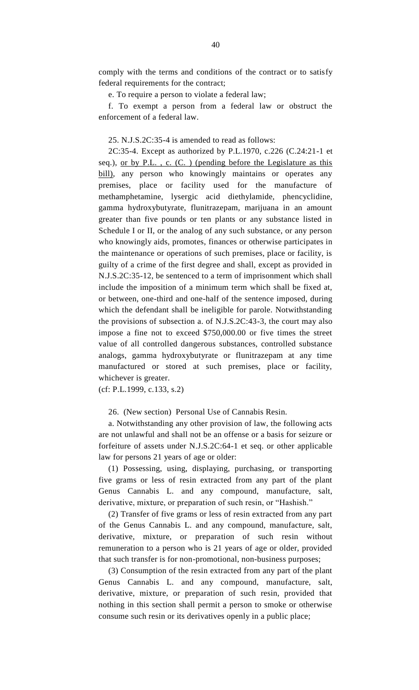comply with the terms and conditions of the contract or to satisfy federal requirements for the contract;

e. To require a person to violate a federal law;

f. To exempt a person from a federal law or obstruct the enforcement of a federal law.

25. N.J.S.2C:35-4 is amended to read as follows:

2C:35-4. Except as authorized by P.L.1970, c.226 (C.24:21-1 et seq.), or by P.L. , c. (C. ) (pending before the Legislature as this bill), any person who knowingly maintains or operates any premises, place or facility used for the manufacture of methamphetamine, lysergic acid diethylamide, phencyclidine, gamma hydroxybutyrate, flunitrazepam, marijuana in an amount greater than five pounds or ten plants or any substance listed in Schedule I or II, or the analog of any such substance, or any person who knowingly aids, promotes, finances or otherwise participates in the maintenance or operations of such premises, place or facility, is guilty of a crime of the first degree and shall, except as provided in N.J.S.2C:35-12, be sentenced to a term of imprisonment which shall include the imposition of a minimum term which shall be fixed at, or between, one-third and one-half of the sentence imposed, during which the defendant shall be ineligible for parole. Notwithstanding the provisions of subsection a. of N.J.S.2C:43-3, the court may also impose a fine not to exceed \$750,000.00 or five times the street value of all controlled dangerous substances, controlled substance analogs, gamma hydroxybutyrate or flunitrazepam at any time manufactured or stored at such premises, place or facility, whichever is greater.

(cf: P.L.1999, c.133, s.2)

26. (New section) Personal Use of Cannabis Resin.

a. Notwithstanding any other provision of law, the following acts are not unlawful and shall not be an offense or a basis for seizure or forfeiture of assets under N.J.S.2C:64-1 et seq. or other applicable law for persons 21 years of age or older:

(1) Possessing, using, displaying, purchasing, or transporting five grams or less of resin extracted from any part of the plant Genus Cannabis L. and any compound, manufacture, salt, derivative, mixture, or preparation of such resin, or "Hashish."

(2) Transfer of five grams or less of resin extracted from any part of the Genus Cannabis L. and any compound, manufacture, salt, derivative, mixture, or preparation of such resin without remuneration to a person who is 21 years of age or older, provided that such transfer is for non-promotional, non-business purposes;

(3) Consumption of the resin extracted from any part of the plant Genus Cannabis L. and any compound, manufacture, salt, derivative, mixture, or preparation of such resin, provided that nothing in this section shall permit a person to smoke or otherwise consume such resin or its derivatives openly in a public place;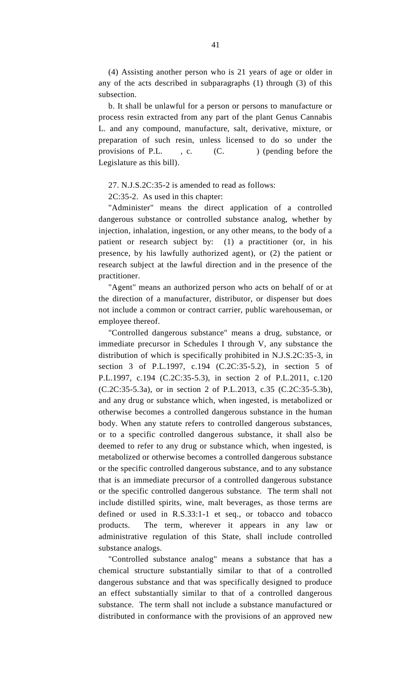(4) Assisting another person who is 21 years of age or older in any of the acts described in subparagraphs (1) through (3) of this subsection.

b. It shall be unlawful for a person or persons to manufacture or process resin extracted from any part of the plant Genus Cannabis L. and any compound, manufacture, salt, derivative, mixture, or preparation of such resin, unless licensed to do so under the provisions of P.L.  $\ldots$ , c.  $(C.$   $)$  (pending before the Legislature as this bill).

27. N.J.S.2C:35-2 is amended to read as follows:

2C:35-2. As used in this chapter:

"Administer" means the direct application of a controlled dangerous substance or controlled substance analog, whether by injection, inhalation, ingestion, or any other means, to the body of a patient or research subject by: (1) a practitioner (or, in his presence, by his lawfully authorized agent), or (2) the patient or research subject at the lawful direction and in the presence of the practitioner.

"Agent" means an authorized person who acts on behalf of or at the direction of a manufacturer, distributor, or dispenser but does not include a common or contract carrier, public warehouseman, or employee thereof.

"Controlled dangerous substance" means a drug, substance, or immediate precursor in Schedules I through V, any substance the distribution of which is specifically prohibited in N.J.S.2C:35-3, in section 3 of P.L.1997, c.194 (C.2C:35-5.2), in section 5 of P.L.1997, c.194 (C.2C:35-5.3), in section 2 of P.L.2011, c.120 (C.2C:35-5.3a), or in section 2 of P.L.2013, c.35 (C.2C:35-5.3b), and any drug or substance which, when ingested, is metabolized or otherwise becomes a controlled dangerous substance in the human body. When any statute refers to controlled dangerous substances, or to a specific controlled dangerous substance, it shall also be deemed to refer to any drug or substance which, when ingested, is metabolized or otherwise becomes a controlled dangerous substance or the specific controlled dangerous substance, and to any substance that is an immediate precursor of a controlled dangerous substance or the specific controlled dangerous substance. The term shall not include distilled spirits, wine, malt beverages, as those terms are defined or used in R.S.33:1-1 et seq., or tobacco and tobacco products. The term, wherever it appears in any law or administrative regulation of this State, shall include controlled substance analogs.

"Controlled substance analog" means a substance that has a chemical structure substantially similar to that of a controlled dangerous substance and that was specifically designed to produce an effect substantially similar to that of a controlled dangerous substance. The term shall not include a substance manufactured or distributed in conformance with the provisions of an approved new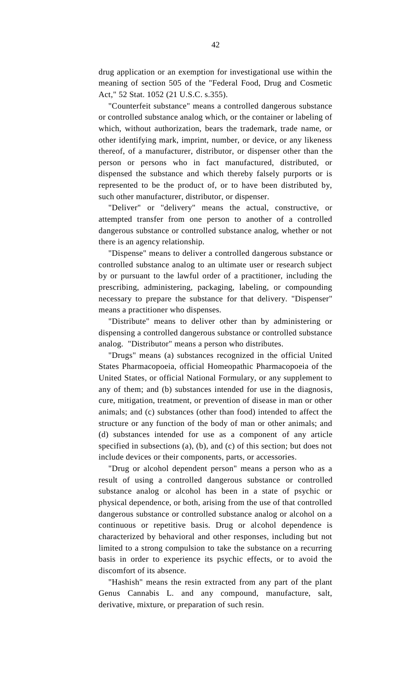drug application or an exemption for investigational use within the meaning of section 505 of the "Federal Food, Drug and Cosmetic Act," 52 Stat. 1052 (21 U.S.C. s.355).

"Counterfeit substance" means a controlled dangerous substance or controlled substance analog which, or the container or labeling of which, without authorization, bears the trademark, trade name, or other identifying mark, imprint, number, or device, or any likeness thereof, of a manufacturer, distributor, or dispenser other than the person or persons who in fact manufactured, distributed, or dispensed the substance and which thereby falsely purports or is represented to be the product of, or to have been distributed by, such other manufacturer, distributor, or dispenser.

"Deliver" or "delivery" means the actual, constructive, or attempted transfer from one person to another of a controlled dangerous substance or controlled substance analog, whether or not there is an agency relationship.

"Dispense" means to deliver a controlled dangerous substance or controlled substance analog to an ultimate user or research subject by or pursuant to the lawful order of a practitioner, including the prescribing, administering, packaging, labeling, or compounding necessary to prepare the substance for that delivery. "Dispenser" means a practitioner who dispenses.

"Distribute" means to deliver other than by administering or dispensing a controlled dangerous substance or controlled substance analog. "Distributor" means a person who distributes.

"Drugs" means (a) substances recognized in the official United States Pharmacopoeia, official Homeopathic Pharmacopoeia of the United States, or official National Formulary, or any supplement to any of them; and (b) substances intended for use in the diagnosis, cure, mitigation, treatment, or prevention of disease in man or other animals; and (c) substances (other than food) intended to affect the structure or any function of the body of man or other animals; and (d) substances intended for use as a component of any article specified in subsections (a), (b), and (c) of this section; but does not include devices or their components, parts, or accessories.

"Drug or alcohol dependent person" means a person who as a result of using a controlled dangerous substance or controlled substance analog or alcohol has been in a state of psychic or physical dependence, or both, arising from the use of that controlled dangerous substance or controlled substance analog or alcohol on a continuous or repetitive basis. Drug or alcohol dependence is characterized by behavioral and other responses, including but not limited to a strong compulsion to take the substance on a recurring basis in order to experience its psychic effects, or to avoid the discomfort of its absence.

"Hashish" means the resin extracted from any part of the plant Genus Cannabis L. and any compound, manufacture, salt, derivative, mixture, or preparation of such resin.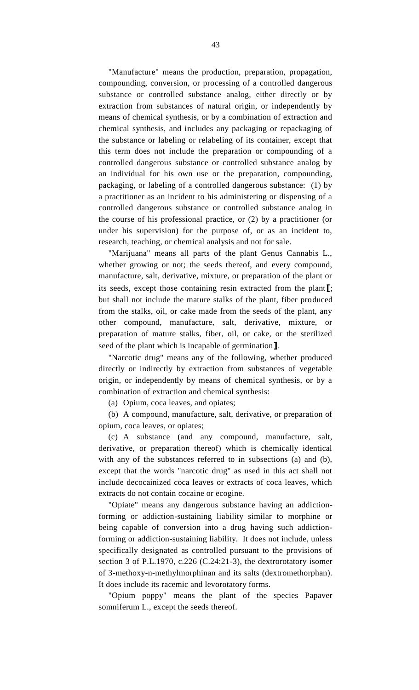"Manufacture" means the production, preparation, propagation, compounding, conversion, or processing of a controlled dangerous substance or controlled substance analog, either directly or by extraction from substances of natural origin, or independently by means of chemical synthesis, or by a combination of extraction and chemical synthesis, and includes any packaging or repackaging of the substance or labeling or relabeling of its container, except that this term does not include the preparation or compounding of a controlled dangerous substance or controlled substance analog by an individual for his own use or the preparation, compounding, packaging, or labeling of a controlled dangerous substance: (1) by a practitioner as an incident to his administering or dispensing of a controlled dangerous substance or controlled substance analog in the course of his professional practice, or (2) by a practitioner (or under his supervision) for the purpose of, or as an incident to, research, teaching, or chemical analysis and not for sale.

"Marijuana" means all parts of the plant Genus Cannabis L., whether growing or not; the seeds thereof, and every compound, manufacture, salt, derivative, mixture, or preparation of the plant or its seeds, except those containing resin extracted from the plant**[**; but shall not include the mature stalks of the plant, fiber produced from the stalks, oil, or cake made from the seeds of the plant, any other compound, manufacture, salt, derivative, mixture, or preparation of mature stalks, fiber, oil, or cake, or the sterilized seed of the plant which is incapable of germination**]**.

"Narcotic drug" means any of the following, whether produced directly or indirectly by extraction from substances of vegetable origin, or independently by means of chemical synthesis, or by a combination of extraction and chemical synthesis:

(a) Opium, coca leaves, and opiates;

(b) A compound, manufacture, salt, derivative, or preparation of opium, coca leaves, or opiates;

(c) A substance (and any compound, manufacture, salt, derivative, or preparation thereof) which is chemically identical with any of the substances referred to in subsections (a) and (b), except that the words "narcotic drug" as used in this act shall not include decocainized coca leaves or extracts of coca leaves, which extracts do not contain cocaine or ecogine.

"Opiate" means any dangerous substance having an addictionforming or addiction-sustaining liability similar to morphine or being capable of conversion into a drug having such addictionforming or addiction-sustaining liability. It does not include, unless specifically designated as controlled pursuant to the provisions of section 3 of P.L.1970, c.226 (C.24:21-3), the dextrorotatory isomer of 3-methoxy-n-methylmorphinan and its salts (dextromethorphan). It does include its racemic and levorotatory forms.

"Opium poppy" means the plant of the species Papaver somniferum L., except the seeds thereof.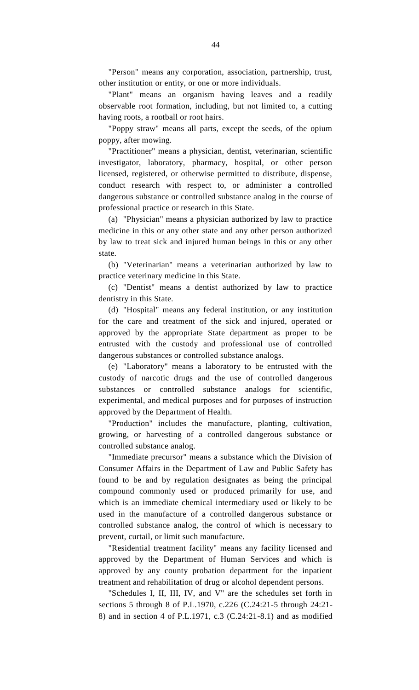"Person" means any corporation, association, partnership, trust, other institution or entity, or one or more individuals.

"Plant" means an organism having leaves and a readily observable root formation, including, but not limited to, a cutting having roots, a rootball or root hairs.

"Poppy straw" means all parts, except the seeds, of the opium poppy, after mowing.

"Practitioner" means a physician, dentist, veterinarian, scientific investigator, laboratory, pharmacy, hospital, or other person licensed, registered, or otherwise permitted to distribute, dispense, conduct research with respect to, or administer a controlled dangerous substance or controlled substance analog in the course of professional practice or research in this State.

(a) "Physician" means a physician authorized by law to practice medicine in this or any other state and any other person authorized by law to treat sick and injured human beings in this or any other state.

(b) "Veterinarian" means a veterinarian authorized by law to practice veterinary medicine in this State.

(c) "Dentist" means a dentist authorized by law to practice dentistry in this State.

(d) "Hospital" means any federal institution, or any institution for the care and treatment of the sick and injured, operated or approved by the appropriate State department as proper to be entrusted with the custody and professional use of controlled dangerous substances or controlled substance analogs.

(e) "Laboratory" means a laboratory to be entrusted with the custody of narcotic drugs and the use of controlled dangerous substances or controlled substance analogs for scientific, experimental, and medical purposes and for purposes of instruction approved by the Department of Health.

"Production" includes the manufacture, planting, cultivation, growing, or harvesting of a controlled dangerous substance or controlled substance analog.

"Immediate precursor" means a substance which the Division of Consumer Affairs in the Department of Law and Public Safety has found to be and by regulation designates as being the principal compound commonly used or produced primarily for use, and which is an immediate chemical intermediary used or likely to be used in the manufacture of a controlled dangerous substance or controlled substance analog, the control of which is necessary to prevent, curtail, or limit such manufacture.

"Residential treatment facility" means any facility licensed and approved by the Department of Human Services and which is approved by any county probation department for the inpatient treatment and rehabilitation of drug or alcohol dependent persons.

"Schedules I, II, III, IV, and V" are the schedules set forth in sections 5 through 8 of P.L.1970, c.226 (C.24:21-5 through 24:21- 8) and in section 4 of P.L.1971, c.3 (C.24:21-8.1) and as modified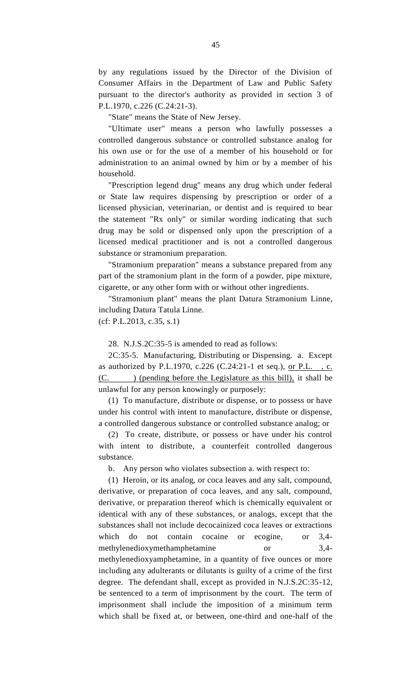by any regulations issued by the Director of the Division of Consumer Affairs in the Department of Law and Public Safety pursuant to the director's authority as provided in section 3 of P.L.1970, c.226 (C.24:21-3).

"State" means the State of New Jersey.

"Ultimate user" means a person who lawfully possesses a controlled dangerous substance or controlled substance analog for his own use or for the use of a member of his household or for administration to an animal owned by him or by a member of his household.

"Prescription legend drug" means any drug which under federal or State law requires dispensing by prescription or order of a licensed physician, veterinarian, or dentist and is required to bear the statement "Rx only" or similar wording indicating that such drug may be sold or dispensed only upon the prescription of a licensed medical practitioner and is not a controlled dangerous substance or stramonium preparation.

"Stramonium preparation" means a substance prepared from any part of the stramonium plant in the form of a powder, pipe mixture, cigarette, or any other form with or without other ingredients.

"Stramonium plant" means the plant Datura Stramonium Linne, including Datura Tatula Linne.

(cf: P.L.2013, c.35, s.1)

28. N.J.S.2C:35-5 is amended to read as follows:

2C:35-5. Manufacturing, Distributing or Dispensing. a. Except as authorized by P.L.1970, c.226 (C.24:21-1 et seq.), or P.L. , c. (C. ) (pending before the Legislature as this bill), it shall be unlawful for any person knowingly or purposely:

(1) To manufacture, distribute or dispense, or to possess or have under his control with intent to manufacture, distribute or dispense, a controlled dangerous substance or controlled substance analog; or

(2) To create, distribute, or possess or have under his control with intent to distribute, a counterfeit controlled dangerous substance.

b. Any person who violates subsection a. with respect to:

(1) Heroin, or its analog, or coca leaves and any salt, compound, derivative, or preparation of coca leaves, and any salt, compound, derivative, or preparation thereof which is chemically equivalent or identical with any of these substances, or analogs, except that the substances shall not include decocainized coca leaves or extractions which do not contain cocaine or ecogine, or 3,4methylenedioxymethamphetamine or 3,4 methylenedioxyamphetamine, in a quantity of five ounces or more including any adulterants or dilutants is guilty of a crime of the first degree. The defendant shall, except as provided in N.J.S.2C:35-12, be sentenced to a term of imprisonment by the court. The term of imprisonment shall include the imposition of a minimum term which shall be fixed at, or between, one-third and one-half of the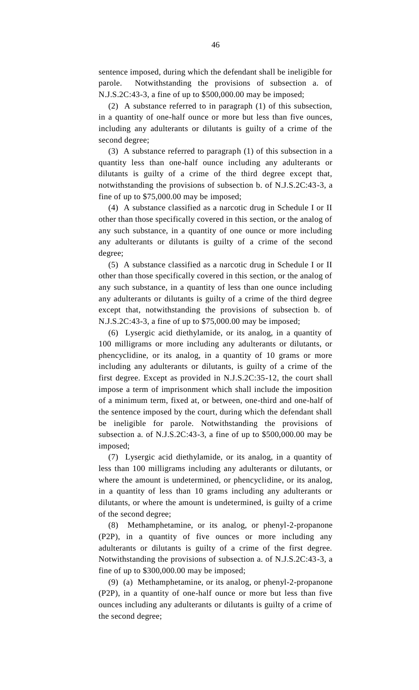sentence imposed, during which the defendant shall be ineligible for parole. Notwithstanding the provisions of subsection a. of N.J.S.2C:43-3, a fine of up to \$500,000.00 may be imposed;

(2) A substance referred to in paragraph (1) of this subsection, in a quantity of one-half ounce or more but less than five ounces, including any adulterants or dilutants is guilty of a crime of the second degree;

(3) A substance referred to paragraph (1) of this subsection in a quantity less than one-half ounce including any adulterants or dilutants is guilty of a crime of the third degree except that, notwithstanding the provisions of subsection b. of N.J.S.2C:43-3, a fine of up to \$75,000.00 may be imposed;

(4) A substance classified as a narcotic drug in Schedule I or II other than those specifically covered in this section, or the analog of any such substance, in a quantity of one ounce or more including any adulterants or dilutants is guilty of a crime of the second degree;

(5) A substance classified as a narcotic drug in Schedule I or II other than those specifically covered in this section, or the analog of any such substance, in a quantity of less than one ounce including any adulterants or dilutants is guilty of a crime of the third degree except that, notwithstanding the provisions of subsection b. of N.J.S.2C:43-3, a fine of up to \$75,000.00 may be imposed;

(6) Lysergic acid diethylamide, or its analog, in a quantity of 100 milligrams or more including any adulterants or dilutants, or phencyclidine, or its analog, in a quantity of 10 grams or more including any adulterants or dilutants, is guilty of a crime of the first degree. Except as provided in N.J.S.2C:35-12, the court shall impose a term of imprisonment which shall include the imposition of a minimum term, fixed at, or between, one-third and one-half of the sentence imposed by the court, during which the defendant shall be ineligible for parole. Notwithstanding the provisions of subsection a. of N.J.S.2C:43-3, a fine of up to \$500,000.00 may be imposed;

(7) Lysergic acid diethylamide, or its analog, in a quantity of less than 100 milligrams including any adulterants or dilutants, or where the amount is undetermined, or phencyclidine, or its analog, in a quantity of less than 10 grams including any adulterants or dilutants, or where the amount is undetermined, is guilty of a crime of the second degree;

(8) Methamphetamine, or its analog, or phenyl-2-propanone (P2P), in a quantity of five ounces or more including any adulterants or dilutants is guilty of a crime of the first degree. Notwithstanding the provisions of subsection a. of N.J.S.2C:43-3, a fine of up to \$300,000.00 may be imposed;

(9) (a) Methamphetamine, or its analog, or phenyl-2-propanone (P2P), in a quantity of one-half ounce or more but less than five ounces including any adulterants or dilutants is guilty of a crime of the second degree;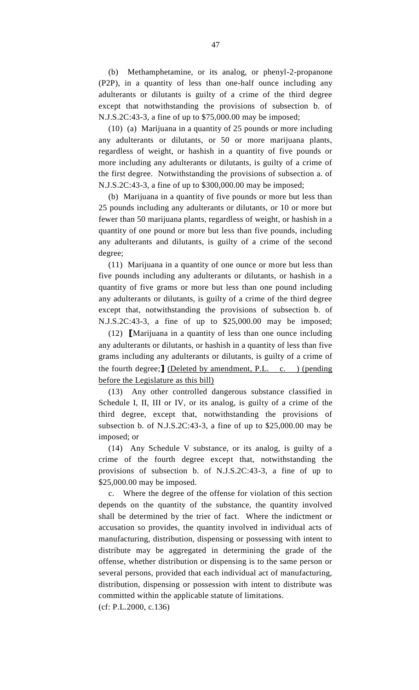(b) Methamphetamine, or its analog, or phenyl-2-propanone (P2P), in a quantity of less than one-half ounce including any adulterants or dilutants is guilty of a crime of the third degree except that notwithstanding the provisions of subsection b. of N.J.S.2C:43-3, a fine of up to \$75,000.00 may be imposed;

(10) (a) Marijuana in a quantity of 25 pounds or more including any adulterants or dilutants, or 50 or more marijuana plants, regardless of weight, or hashish in a quantity of five pounds or more including any adulterants or dilutants, is guilty of a crime of the first degree. Notwithstanding the provisions of subsection a. of N.J.S.2C:43-3, a fine of up to \$300,000.00 may be imposed;

(b) Marijuana in a quantity of five pounds or more but less than 25 pounds including any adulterants or dilutants, or 10 or more but fewer than 50 marijuana plants, regardless of weight, or hashish in a quantity of one pound or more but less than five pounds, including any adulterants and dilutants, is guilty of a crime of the second degree;

(11) Marijuana in a quantity of one ounce or more but less than five pounds including any adulterants or dilutants, or hashish in a quantity of five grams or more but less than one pound including any adulterants or dilutants, is guilty of a crime of the third degree except that, notwithstanding the provisions of subsection b. of N.J.S.2C:43-3, a fine of up to \$25,000.00 may be imposed;

(12) **[**Marijuana in a quantity of less than one ounce including any adulterants or dilutants, or hashish in a quantity of less than five grams including any adulterants or dilutants, is guilty of a crime of the fourth degree;**]** (Deleted by amendment, P.L. c. ) (pending before the Legislature as this bill)

(13) Any other controlled dangerous substance classified in Schedule I, II, III or IV, or its analog, is guilty of a crime of the third degree, except that, notwithstanding the provisions of subsection b. of N.J.S.2C:43-3, a fine of up to \$25,000.00 may be imposed; or

(14) Any Schedule V substance, or its analog, is guilty of a crime of the fourth degree except that, notwithstanding the provisions of subsection b. of N.J.S.2C:43-3, a fine of up to \$25,000.00 may be imposed.

c. Where the degree of the offense for violation of this section depends on the quantity of the substance, the quantity involved shall be determined by the trier of fact. Where the indictment or accusation so provides, the quantity involved in individual acts of manufacturing, distribution, dispensing or possessing with intent to distribute may be aggregated in determining the grade of the offense, whether distribution or dispensing is to the same person or several persons, provided that each individual act of manufacturing, distribution, dispensing or possession with intent to distribute was committed within the applicable statute of limitations.

(cf: P.L.2000, c.136)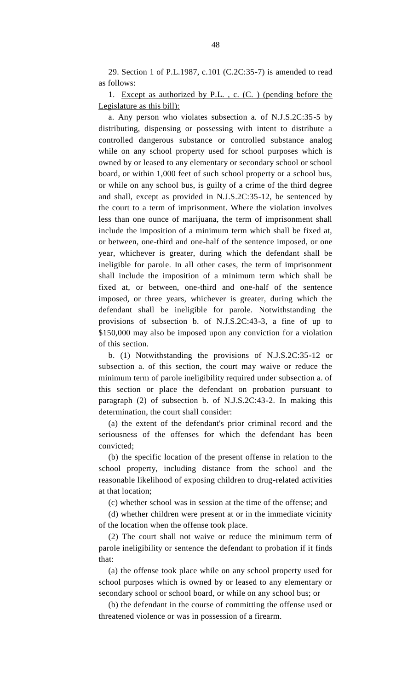29. Section 1 of P.L.1987, c.101 (C.2C:35-7) is amended to read as follows:

1. Except as authorized by P.L. , c. (C. ) (pending before the Legislature as this bill):

a. Any person who violates subsection a. of N.J.S.2C:35-5 by distributing, dispensing or possessing with intent to distribute a controlled dangerous substance or controlled substance analog while on any school property used for school purposes which is owned by or leased to any elementary or secondary school or school board, or within 1,000 feet of such school property or a school bus, or while on any school bus, is guilty of a crime of the third degree and shall, except as provided in N.J.S.2C:35-12, be sentenced by the court to a term of imprisonment. Where the violation involves less than one ounce of marijuana, the term of imprisonment shall include the imposition of a minimum term which shall be fixed at, or between, one-third and one-half of the sentence imposed, or one year, whichever is greater, during which the defendant shall be ineligible for parole. In all other cases, the term of imprisonment shall include the imposition of a minimum term which shall be fixed at, or between, one-third and one-half of the sentence imposed, or three years, whichever is greater, during which the defendant shall be ineligible for parole. Notwithstanding the provisions of subsection b. of N.J.S.2C:43-3, a fine of up to \$150,000 may also be imposed upon any conviction for a violation of this section.

b. (1) Notwithstanding the provisions of N.J.S.2C:35-12 or subsection a. of this section, the court may waive or reduce the minimum term of parole ineligibility required under subsection a. of this section or place the defendant on probation pursuant to paragraph (2) of subsection b. of N.J.S.2C:43-2. In making this determination, the court shall consider:

(a) the extent of the defendant's prior criminal record and the seriousness of the offenses for which the defendant has been convicted;

(b) the specific location of the present offense in relation to the school property, including distance from the school and the reasonable likelihood of exposing children to drug-related activities at that location;

(c) whether school was in session at the time of the offense; and

(d) whether children were present at or in the immediate vicinity of the location when the offense took place.

(2) The court shall not waive or reduce the minimum term of parole ineligibility or sentence the defendant to probation if it finds that:

(a) the offense took place while on any school property used for school purposes which is owned by or leased to any elementary or secondary school or school board, or while on any school bus; or

(b) the defendant in the course of committing the offense used or threatened violence or was in possession of a firearm.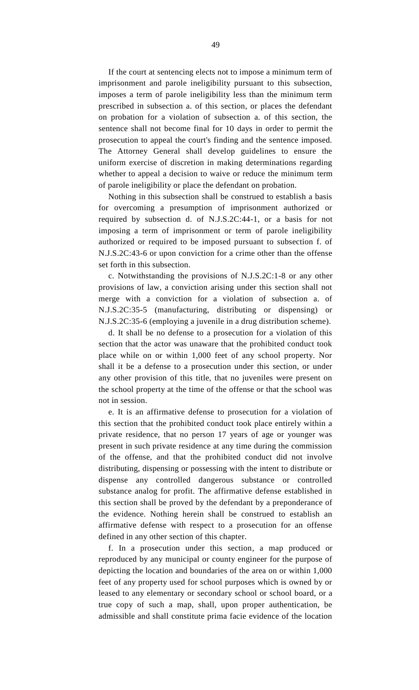If the court at sentencing elects not to impose a minimum term of imprisonment and parole ineligibility pursuant to this subsection, imposes a term of parole ineligibility less than the minimum term prescribed in subsection a. of this section, or places the defendant on probation for a violation of subsection a. of this section, the sentence shall not become final for 10 days in order to permit the prosecution to appeal the court's finding and the sentence imposed. The Attorney General shall develop guidelines to ensure the uniform exercise of discretion in making determinations regarding whether to appeal a decision to waive or reduce the minimum term of parole ineligibility or place the defendant on probation.

Nothing in this subsection shall be construed to establish a basis for overcoming a presumption of imprisonment authorized or required by subsection d. of N.J.S.2C:44-1, or a basis for not imposing a term of imprisonment or term of parole ineligibility authorized or required to be imposed pursuant to subsection f. of N.J.S.2C:43-6 or upon conviction for a crime other than the offense set forth in this subsection.

c. Notwithstanding the provisions of N.J.S.2C:1-8 or any other provisions of law, a conviction arising under this section shall not merge with a conviction for a violation of subsection a. of N.J.S.2C:35-5 (manufacturing, distributing or dispensing) or N.J.S.2C:35-6 (employing a juvenile in a drug distribution scheme).

d. It shall be no defense to a prosecution for a violation of this section that the actor was unaware that the prohibited conduct took place while on or within 1,000 feet of any school property. Nor shall it be a defense to a prosecution under this section, or under any other provision of this title, that no juveniles were present on the school property at the time of the offense or that the school was not in session.

e. It is an affirmative defense to prosecution for a violation of this section that the prohibited conduct took place entirely within a private residence, that no person 17 years of age or younger was present in such private residence at any time during the commission of the offense, and that the prohibited conduct did not involve distributing, dispensing or possessing with the intent to distribute or dispense any controlled dangerous substance or controlled substance analog for profit. The affirmative defense established in this section shall be proved by the defendant by a preponderance of the evidence. Nothing herein shall be construed to establish an affirmative defense with respect to a prosecution for an offense defined in any other section of this chapter.

f. In a prosecution under this section, a map produced or reproduced by any municipal or county engineer for the purpose of depicting the location and boundaries of the area on or within 1,000 feet of any property used for school purposes which is owned by or leased to any elementary or secondary school or school board, or a true copy of such a map, shall, upon proper authentication, be admissible and shall constitute prima facie evidence of the location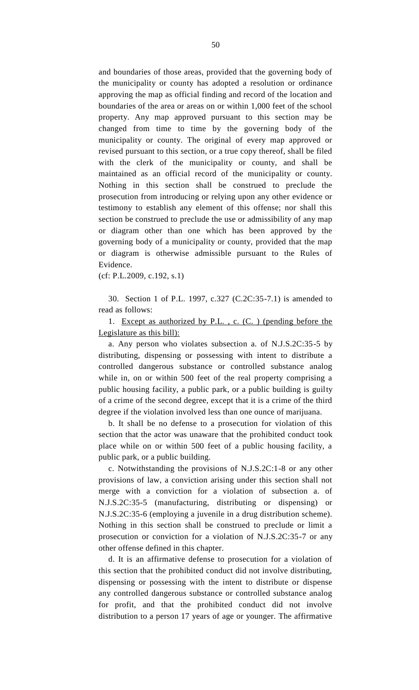and boundaries of those areas, provided that the governing body of the municipality or county has adopted a resolution or ordinance approving the map as official finding and record of the location and boundaries of the area or areas on or within 1,000 feet of the school property. Any map approved pursuant to this section may be changed from time to time by the governing body of the municipality or county. The original of every map approved or revised pursuant to this section, or a true copy thereof, shall be filed with the clerk of the municipality or county, and shall be maintained as an official record of the municipality or county. Nothing in this section shall be construed to preclude the prosecution from introducing or relying upon any other evidence or testimony to establish any element of this offense; nor shall this section be construed to preclude the use or admissibility of any map or diagram other than one which has been approved by the governing body of a municipality or county, provided that the map or diagram is otherwise admissible pursuant to the Rules of Evidence.

(cf: P.L.2009, c.192, s.1)

30. Section 1 of P.L. 1997, c.327 (C.2C:35-7.1) is amended to read as follows:

1. Except as authorized by P.L. , c. (C. ) (pending before the Legislature as this bill):

a. Any person who violates subsection a. of N.J.S.2C:35-5 by distributing, dispensing or possessing with intent to distribute a controlled dangerous substance or controlled substance analog while in, on or within 500 feet of the real property comprising a public housing facility, a public park, or a public building is guilty of a crime of the second degree, except that it is a crime of the third degree if the violation involved less than one ounce of marijuana.

b. It shall be no defense to a prosecution for violation of this section that the actor was unaware that the prohibited conduct took place while on or within 500 feet of a public housing facility, a public park, or a public building.

c. Notwithstanding the provisions of N.J.S.2C:1-8 or any other provisions of law, a conviction arising under this section shall not merge with a conviction for a violation of subsection a. of N.J.S.2C:35-5 (manufacturing, distributing or dispensing) or N.J.S.2C:35-6 (employing a juvenile in a drug distribution scheme). Nothing in this section shall be construed to preclude or limit a prosecution or conviction for a violation of N.J.S.2C:35-7 or any other offense defined in this chapter.

d. It is an affirmative defense to prosecution for a violation of this section that the prohibited conduct did not involve distributing, dispensing or possessing with the intent to distribute or dispense any controlled dangerous substance or controlled substance analog for profit, and that the prohibited conduct did not involve distribution to a person 17 years of age or younger. The affirmative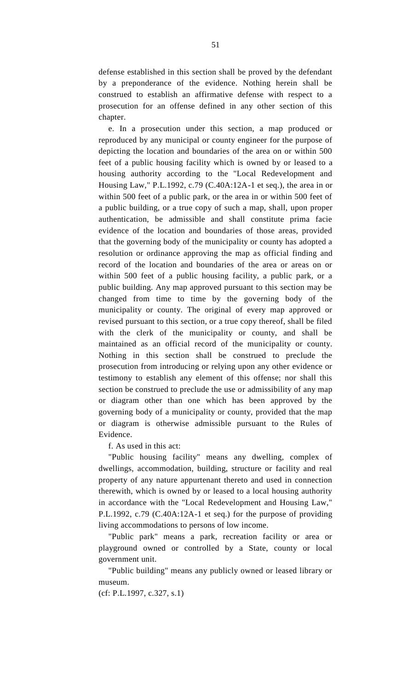defense established in this section shall be proved by the defendant by a preponderance of the evidence. Nothing herein shall be construed to establish an affirmative defense with respect to a prosecution for an offense defined in any other section of this chapter.

e. In a prosecution under this section, a map produced or reproduced by any municipal or county engineer for the purpose of depicting the location and boundaries of the area on or within 500 feet of a public housing facility which is owned by or leased to a housing authority according to the "Local Redevelopment and Housing Law," P.L.1992, c.79 (C.40A:12A-1 et seq.), the area in or within 500 feet of a public park, or the area in or within 500 feet of a public building, or a true copy of such a map, shall, upon proper authentication, be admissible and shall constitute prima facie evidence of the location and boundaries of those areas, provided that the governing body of the municipality or county has adopted a resolution or ordinance approving the map as official finding and record of the location and boundaries of the area or areas on or within 500 feet of a public housing facility, a public park, or a public building. Any map approved pursuant to this section may be changed from time to time by the governing body of the municipality or county. The original of every map approved or revised pursuant to this section, or a true copy thereof, shall be filed with the clerk of the municipality or county, and shall be maintained as an official record of the municipality or county. Nothing in this section shall be construed to preclude the prosecution from introducing or relying upon any other evidence or testimony to establish any element of this offense; nor shall this section be construed to preclude the use or admissibility of any map or diagram other than one which has been approved by the governing body of a municipality or county, provided that the map or diagram is otherwise admissible pursuant to the Rules of Evidence.

f. As used in this act:

"Public housing facility" means any dwelling, complex of dwellings, accommodation, building, structure or facility and real property of any nature appurtenant thereto and used in connection therewith, which is owned by or leased to a local housing authority in accordance with the "Local Redevelopment and Housing Law," P.L.1992, c.79 (C.40A:12A-1 et seq.) for the purpose of providing living accommodations to persons of low income.

"Public park" means a park, recreation facility or area or playground owned or controlled by a State, county or local government unit.

"Public building" means any publicly owned or leased library or museum.

(cf: P.L.1997, c.327, s.1)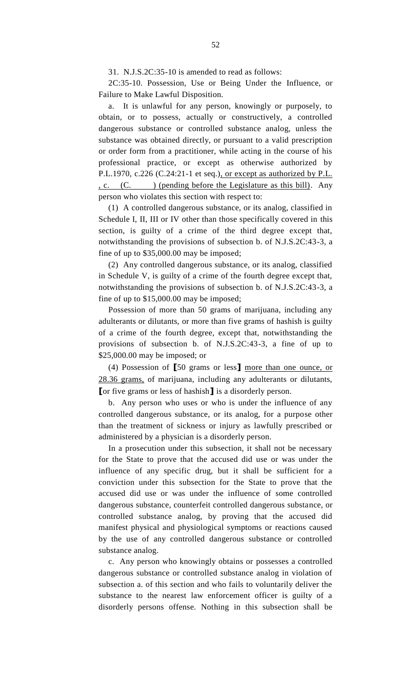31. N.J.S.2C:35-10 is amended to read as follows:

2C:35-10. Possession, Use or Being Under the Influence, or Failure to Make Lawful Disposition.

a. It is unlawful for any person, knowingly or purposely, to obtain, or to possess, actually or constructively, a controlled dangerous substance or controlled substance analog, unless the substance was obtained directly, or pursuant to a valid prescription or order form from a practitioner, while acting in the course of his professional practice, or except as otherwise authorized by P.L.1970, c.226 (C.24:21-1 et seq.), or except as authorized by P.L. , c. (C. ) (pending before the Legislature as this bill). Any person who violates this section with respect to:

(1) A controlled dangerous substance, or its analog, classified in Schedule I, II, III or IV other than those specifically covered in this section, is guilty of a crime of the third degree except that, notwithstanding the provisions of subsection b. of N.J.S.2C:43-3, a fine of up to \$35,000.00 may be imposed;

(2) Any controlled dangerous substance, or its analog, classified in Schedule V, is guilty of a crime of the fourth degree except that, notwithstanding the provisions of subsection b. of N.J.S.2C:43-3, a fine of up to \$15,000.00 may be imposed;

Possession of more than 50 grams of marijuana, including any adulterants or dilutants, or more than five grams of hashish is guilty of a crime of the fourth degree, except that, notwithstanding the provisions of subsection b. of N.J.S.2C:43-3, a fine of up to \$25,000.00 may be imposed; or

(4) Possession of **[**50 grams or less**]** more than one ounce, or 28.36 grams, of marijuana, including any adulterants or dilutants, **[**or five grams or less of hashish**]** is a disorderly person.

b. Any person who uses or who is under the influence of any controlled dangerous substance, or its analog, for a purpose other than the treatment of sickness or injury as lawfully prescribed or administered by a physician is a disorderly person.

In a prosecution under this subsection, it shall not be necessary for the State to prove that the accused did use or was under the influence of any specific drug, but it shall be sufficient for a conviction under this subsection for the State to prove that the accused did use or was under the influence of some controlled dangerous substance, counterfeit controlled dangerous substance, or controlled substance analog, by proving that the accused did manifest physical and physiological symptoms or reactions caused by the use of any controlled dangerous substance or controlled substance analog.

c. Any person who knowingly obtains or possesses a controlled dangerous substance or controlled substance analog in violation of subsection a. of this section and who fails to voluntarily deliver the substance to the nearest law enforcement officer is guilty of a disorderly persons offense. Nothing in this subsection shall be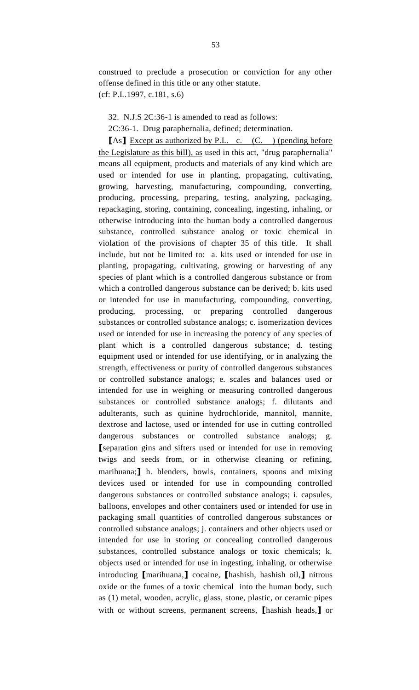construed to preclude a prosecution or conviction for any other offense defined in this title or any other statute. (cf: P.L.1997, c.181, s.6)

32. N.J.S 2C:36-1 is amended to read as follows:

2C:36-1. Drug paraphernalia, defined; determination.

**[**As**]** Except as authorized by P.L. c. (C. ) (pending before the Legislature as this bill), as used in this act, "drug paraphernalia" means all equipment, products and materials of any kind which are used or intended for use in planting, propagating, cultivating, growing, harvesting, manufacturing, compounding, converting, producing, processing, preparing, testing, analyzing, packaging, repackaging, storing, containing, concealing, ingesting, inhaling, or otherwise introducing into the human body a controlled dangerous substance, controlled substance analog or toxic chemical in violation of the provisions of chapter 35 of this title. It shall include, but not be limited to: a. kits used or intended for use in planting, propagating, cultivating, growing or harvesting of any species of plant which is a controlled dangerous substance or from which a controlled dangerous substance can be derived; b. kits used or intended for use in manufacturing, compounding, converting, producing, processing, or preparing controlled dangerous substances or controlled substance analogs; c. isomerization devices used or intended for use in increasing the potency of any species of plant which is a controlled dangerous substance; d. testing equipment used or intended for use identifying, or in analyzing the strength, effectiveness or purity of controlled dangerous substances or controlled substance analogs; e. scales and balances used or intended for use in weighing or measuring controlled dangerous substances or controlled substance analogs; f. dilutants and adulterants, such as quinine hydrochloride, mannitol, mannite, dextrose and lactose, used or intended for use in cutting controlled dangerous substances or controlled substance analogs; g. **[**separation gins and sifters used or intended for use in removing twigs and seeds from, or in otherwise cleaning or refining, marihuana;**]** h. blenders, bowls, containers, spoons and mixing devices used or intended for use in compounding controlled dangerous substances or controlled substance analogs; i. capsules, balloons, envelopes and other containers used or intended for use in packaging small quantities of controlled dangerous substances or controlled substance analogs; j. containers and other objects used or intended for use in storing or concealing controlled dangerous substances, controlled substance analogs or toxic chemicals; k. objects used or intended for use in ingesting, inhaling, or otherwise introducing **[**marihuana,**]** cocaine, **[**hashish, hashish oil,**]** nitrous oxide or the fumes of a toxic chemical into the human body, such as (1) metal, wooden, acrylic, glass, stone, plastic, or ceramic pipes with or without screens, permanent screens, **[**hashish heads,**]** or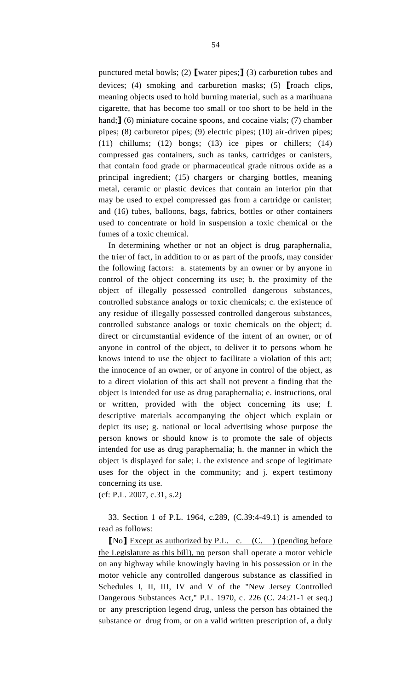punctured metal bowls; (2) **[**water pipes;**]** (3) carburetion tubes and devices; (4) smoking and carburetion masks; (5) **[**roach clips, meaning objects used to hold burning material, such as a marihuana cigarette, that has become too small or too short to be held in the hand;**]** (6) miniature cocaine spoons, and cocaine vials; (7) chamber pipes; (8) carburetor pipes; (9) electric pipes; (10) air-driven pipes; (11) chillums; (12) bongs; (13) ice pipes or chillers; (14) compressed gas containers, such as tanks, cartridges or canisters, that contain food grade or pharmaceutical grade nitrous oxide as a principal ingredient; (15) chargers or charging bottles, meaning metal, ceramic or plastic devices that contain an interior pin that may be used to expel compressed gas from a cartridge or canister; and (16) tubes, balloons, bags, fabrics, bottles or other containers used to concentrate or hold in suspension a toxic chemical or the fumes of a toxic chemical.

In determining whether or not an object is drug paraphernalia, the trier of fact, in addition to or as part of the proofs, may consider the following factors: a. statements by an owner or by anyone in control of the object concerning its use; b. the proximity of the object of illegally possessed controlled dangerous substances, controlled substance analogs or toxic chemicals; c. the existence of any residue of illegally possessed controlled dangerous substances, controlled substance analogs or toxic chemicals on the object; d. direct or circumstantial evidence of the intent of an owner, or of anyone in control of the object, to deliver it to persons whom he knows intend to use the object to facilitate a violation of this act; the innocence of an owner, or of anyone in control of the object, as to a direct violation of this act shall not prevent a finding that the object is intended for use as drug paraphernalia; e. instructions, oral or written, provided with the object concerning its use; f. descriptive materials accompanying the object which explain or depict its use; g. national or local advertising whose purpose the person knows or should know is to promote the sale of objects intended for use as drug paraphernalia; h. the manner in which the object is displayed for sale; i. the existence and scope of legitimate uses for the object in the community; and j. expert testimony concerning its use.

(cf: P.L. 2007, c.31, s.2)

33. Section 1 of P.L. 1964, c.289, (C.39:4-49.1) is amended to read as follows:

**[**No**]** Except as authorized by P.L. c. (C. ) (pending before the Legislature as this bill), no person shall operate a motor vehicle on any highway while knowingly having in his possession or in the motor vehicle any controlled dangerous substance as classified in Schedules I, II, III, IV and V of the "New Jersey Controlled Dangerous Substances Act," P.L. 1970, c. 226 (C. 24:21-1 et seq.) or any prescription legend drug, unless the person has obtained the substance or drug from, or on a valid written prescription of, a duly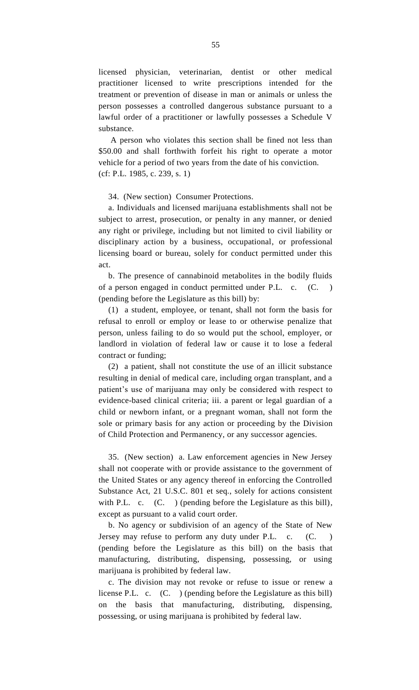licensed physician, veterinarian, dentist or other medical practitioner licensed to write prescriptions intended for the treatment or prevention of disease in man or animals or unless the person possesses a controlled dangerous substance pursuant to a lawful order of a practitioner or lawfully possesses a Schedule V substance.

A person who violates this section shall be fined not less than \$50.00 and shall forthwith forfeit his right to operate a motor vehicle for a period of two years from the date of his conviction. (cf: P.L. 1985, c. 239, s. 1)

34. (New section) Consumer Protections.

a. Individuals and licensed marijuana establishments shall not be subject to arrest, prosecution, or penalty in any manner, or denied any right or privilege, including but not limited to civil liability or disciplinary action by a business, occupational, or professional licensing board or bureau, solely for conduct permitted under this act.

b. The presence of cannabinoid metabolites in the bodily fluids of a person engaged in conduct permitted under P.L. c. (C. ) (pending before the Legislature as this bill) by:

(1) a student, employee, or tenant, shall not form the basis for refusal to enroll or employ or lease to or otherwise penalize that person, unless failing to do so would put the school, employer, or landlord in violation of federal law or cause it to lose a federal contract or funding;

(2) a patient, shall not constitute the use of an illicit substance resulting in denial of medical care, including organ transplant, and a patient's use of marijuana may only be considered with respect to evidence-based clinical criteria; iii. a parent or legal guardian of a child or newborn infant, or a pregnant woman, shall not form the sole or primary basis for any action or proceeding by the Division of Child Protection and Permanency, or any successor agencies.

35. (New section) a. Law enforcement agencies in New Jersey shall not cooperate with or provide assistance to the government of the United States or any agency thereof in enforcing the Controlled Substance Act, 21 U.S.C. 801 et seq., solely for actions consistent with P.L. c. (C. ) (pending before the Legislature as this bill), except as pursuant to a valid court order.

b. No agency or subdivision of an agency of the State of New Jersey may refuse to perform any duty under P.L. c. (C. ) (pending before the Legislature as this bill) on the basis that manufacturing, distributing, dispensing, possessing, or using marijuana is prohibited by federal law.

c. The division may not revoke or refuse to issue or renew a license P.L. c. (C. ) (pending before the Legislature as this bill) on the basis that manufacturing, distributing, dispensing, possessing, or using marijuana is prohibited by federal law.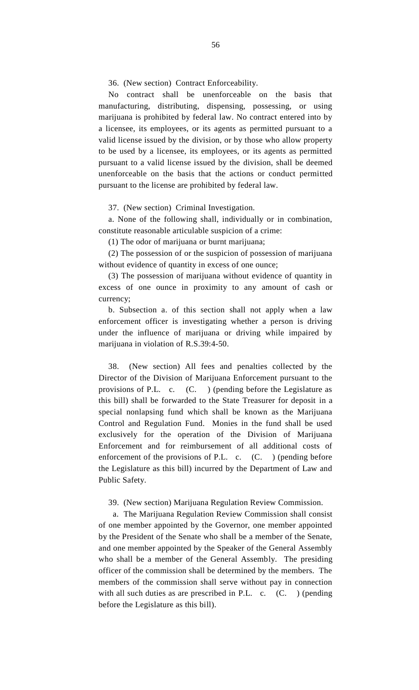36. (New section) Contract Enforceability.

No contract shall be unenforceable on the basis that manufacturing, distributing, dispensing, possessing, or using marijuana is prohibited by federal law. No contract entered into by a licensee, its employees, or its agents as permitted pursuant to a valid license issued by the division, or by those who allow property to be used by a licensee, its employees, or its agents as permitted pursuant to a valid license issued by the division, shall be deemed unenforceable on the basis that the actions or conduct permitted pursuant to the license are prohibited by federal law.

37. (New section) Criminal Investigation.

a. None of the following shall, individually or in combination, constitute reasonable articulable suspicion of a crime:

(1) The odor of marijuana or burnt marijuana;

(2) The possession of or the suspicion of possession of marijuana without evidence of quantity in excess of one ounce;

(3) The possession of marijuana without evidence of quantity in excess of one ounce in proximity to any amount of cash or currency;

b. Subsection a. of this section shall not apply when a law enforcement officer is investigating whether a person is driving under the influence of marijuana or driving while impaired by marijuana in violation of R.S.39:4-50.

38. (New section) All fees and penalties collected by the Director of the Division of Marijuana Enforcement pursuant to the provisions of P.L. c. (C. ) (pending before the Legislature as this bill) shall be forwarded to the State Treasurer for deposit in a special nonlapsing fund which shall be known as the Marijuana Control and Regulation Fund. Monies in the fund shall be used exclusively for the operation of the Division of Marijuana Enforcement and for reimbursement of all additional costs of enforcement of the provisions of P.L. c. (C. ) (pending before the Legislature as this bill) incurred by the Department of Law and Public Safety.

39. (New section) Marijuana Regulation Review Commission.

 a. The Marijuana Regulation Review Commission shall consist of one member appointed by the Governor, one member appointed by the President of the Senate who shall be a member of the Senate, and one member appointed by the Speaker of the General Assembly who shall be a member of the General Assembly. The presiding officer of the commission shall be determined by the members. The members of the commission shall serve without pay in connection with all such duties as are prescribed in P.L. c. (C. ) (pending before the Legislature as this bill).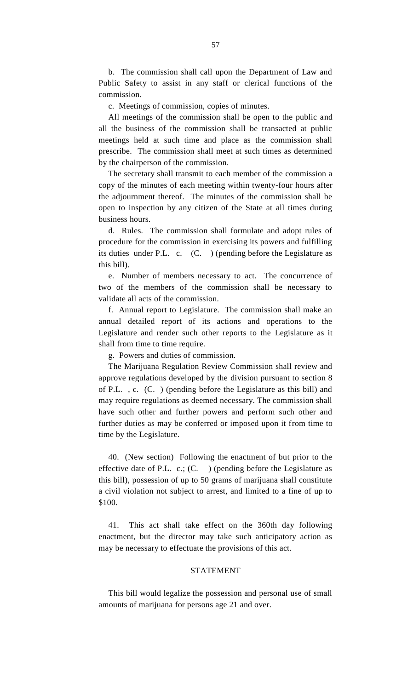b. The commission shall call upon the Department of Law and Public Safety to assist in any staff or clerical functions of the commission.

c. Meetings of commission, copies of minutes.

All meetings of the commission shall be open to the public and all the business of the commission shall be transacted at public meetings held at such time and place as the commission shall prescribe. The commission shall meet at such times as determined by the chairperson of the commission.

The secretary shall transmit to each member of the commission a copy of the minutes of each meeting within twenty-four hours after the adjournment thereof. The minutes of the commission shall be open to inspection by any citizen of the State at all times during business hours.

d. Rules. The commission shall formulate and adopt rules of procedure for the commission in exercising its powers and fulfilling its duties under P.L. c. (C. ) (pending before the Legislature as this bill).

e. Number of members necessary to act. The concurrence of two of the members of the commission shall be necessary to validate all acts of the commission.

f. Annual report to Legislature. The commission shall make an annual detailed report of its actions and operations to the Legislature and render such other reports to the Legislature as it shall from time to time require.

g. Powers and duties of commission.

The Marijuana Regulation Review Commission shall review and approve regulations developed by the division pursuant to section 8 of P.L. , c. (C. ) (pending before the Legislature as this bill) and may require regulations as deemed necessary. The commission shall have such other and further powers and perform such other and further duties as may be conferred or imposed upon it from time to time by the Legislature.

40. (New section) Following the enactment of but prior to the effective date of P.L. c.;  $(C.$  ) (pending before the Legislature as this bill), possession of up to 50 grams of marijuana shall constitute a civil violation not subject to arrest, and limited to a fine of up to \$100.

41. This act shall take effect on the 360th day following enactment, but the director may take such anticipatory action as may be necessary to effectuate the provisions of this act.

## STATEMENT

This bill would legalize the possession and personal use of small amounts of marijuana for persons age 21 and over.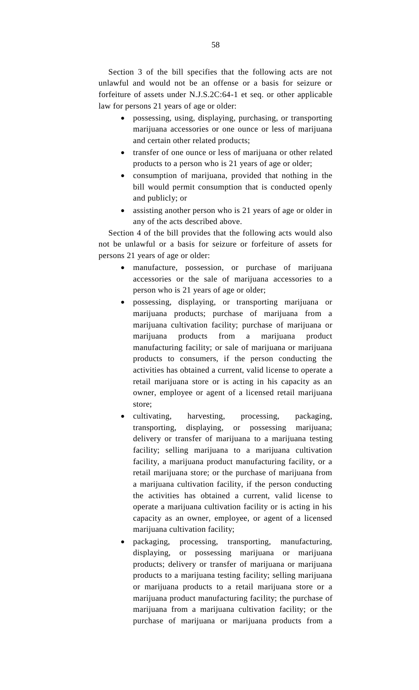Section 3 of the bill specifies that the following acts are not unlawful and would not be an offense or a basis for seizure or forfeiture of assets under N.J.S.2C:64-1 et seq. or other applicable law for persons 21 years of age or older:

- possessing, using, displaying, purchasing, or transporting marijuana accessories or one ounce or less of marijuana and certain other related products;
- transfer of one ounce or less of marijuana or other related products to a person who is 21 years of age or older;
- consumption of marijuana, provided that nothing in the bill would permit consumption that is conducted openly and publicly; or
- assisting another person who is 21 years of age or older in any of the acts described above.

Section 4 of the bill provides that the following acts would also not be unlawful or a basis for seizure or forfeiture of assets for persons 21 years of age or older:

- manufacture, possession, or purchase of marijuana accessories or the sale of marijuana accessories to a person who is 21 years of age or older;
- possessing, displaying, or transporting marijuana or marijuana products; purchase of marijuana from a marijuana cultivation facility; purchase of marijuana or marijuana products from a marijuana product manufacturing facility; or sale of marijuana or marijuana products to consumers, if the person conducting the activities has obtained a current, valid license to operate a retail marijuana store or is acting in his capacity as an owner, employee or agent of a licensed retail marijuana store;
- cultivating, harvesting, processing, packaging, transporting, displaying, or possessing marijuana; delivery or transfer of marijuana to a marijuana testing facility; selling marijuana to a marijuana cultivation facility, a marijuana product manufacturing facility, or a retail marijuana store; or the purchase of marijuana from a marijuana cultivation facility, if the person conducting the activities has obtained a current, valid license to operate a marijuana cultivation facility or is acting in his capacity as an owner, employee, or agent of a licensed marijuana cultivation facility;
- packaging, processing, transporting, manufacturing, displaying, or possessing marijuana or marijuana products; delivery or transfer of marijuana or marijuana products to a marijuana testing facility; selling marijuana or marijuana products to a retail marijuana store or a marijuana product manufacturing facility; the purchase of marijuana from a marijuana cultivation facility; or the purchase of marijuana or marijuana products from a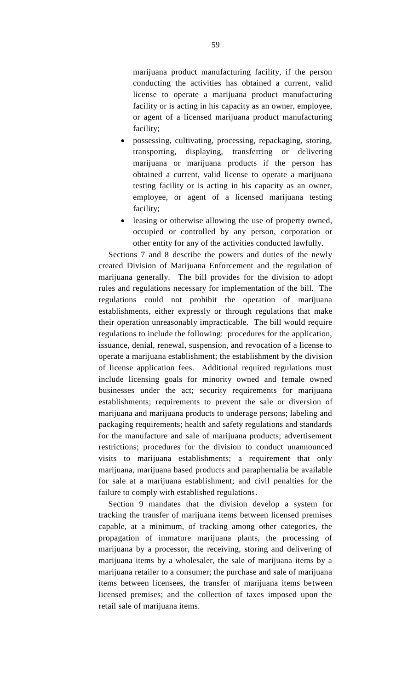marijuana product manufacturing facility, if the person conducting the activities has obtained a current, valid license to operate a marijuana product manufacturing facility or is acting in his capacity as an owner, employee, or agent of a licensed marijuana product manufacturing facility;

- possessing, cultivating, processing, repackaging, storing, transporting, displaying, transferring or delivering marijuana or marijuana products if the person has obtained a current, valid license to operate a marijuana testing facility or is acting in his capacity as an owner, employee, or agent of a licensed marijuana testing facility;
- leasing or otherwise allowing the use of property owned, occupied or controlled by any person, corporation or other entity for any of the activities conducted lawfully.

Sections 7 and 8 describe the powers and duties of the newly created Division of Marijuana Enforcement and the regulation of marijuana generally. The bill provides for the division to adopt rules and regulations necessary for implementation of the bill. The regulations could not prohibit the operation of marijuana establishments, either expressly or through regulations that make their operation unreasonably impracticable. The bill would require regulations to include the following: procedures for the application, issuance, denial, renewal, suspension, and revocation of a license to operate a marijuana establishment; the establishment by the division of license application fees. Additional required regulations must include licensing goals for minority owned and female owned businesses under the act; security requirements for marijuana establishments; requirements to prevent the sale or diversion of marijuana and marijuana products to underage persons; labeling and packaging requirements; health and safety regulations and standards for the manufacture and sale of marijuana products; advertisement restrictions; procedures for the division to conduct unannounced visits to marijuana establishments; a requirement that only marijuana, marijuana based products and paraphernalia be available for sale at a marijuana establishment; and civil penalties for the failure to comply with established regulations.

Section 9 mandates that the division develop a system for tracking the transfer of marijuana items between licensed premises capable, at a minimum, of tracking among other categories, the propagation of immature marijuana plants, the processing of marijuana by a processor, the receiving, storing and delivering of marijuana items by a wholesaler, the sale of marijuana items by a marijuana retailer to a consumer; the purchase and sale of marijuana items between licensees, the transfer of marijuana items between licensed premises; and the collection of taxes imposed upon the retail sale of marijuana items.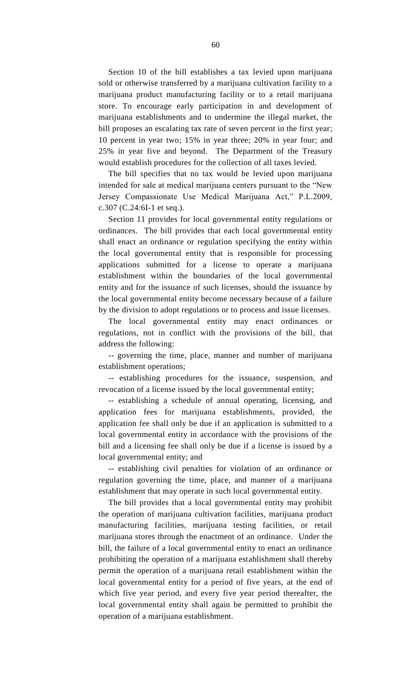Section 10 of the bill establishes a tax levied upon marijuana sold or otherwise transferred by a marijuana cultivation facility to a marijuana product manufacturing facility or to a retail marijuana store. To encourage early participation in and development of marijuana establishments and to undermine the illegal market, the bill proposes an escalating tax rate of seven percent in the first year; 10 percent in year two; 15% in year three; 20% in year four; and 25% in year five and beyond. The Department of the Treasury would establish procedures for the collection of all taxes levied.

The bill specifies that no tax would be levied upon marijuana intended for sale at medical marijuana centers pursuant to the "New Jersey Compassionate Use Medical Marijuana Act," P.L.2009, c.307 (C.24:6I-1 et seq.).

Section 11 provides for local governmental entity regulations or ordinances. The bill provides that each local governmental entity shall enact an ordinance or regulation specifying the entity within the local governmental entity that is responsible for processing applications submitted for a license to operate a marijuana establishment within the boundaries of the local governmental entity and for the issuance of such licenses, should the issuance by the local governmental entity become necessary because of a failure by the division to adopt regulations or to process and issue licenses.

The local governmental entity may enact ordinances or regulations, not in conflict with the provisions of the bill, that address the following:

-- governing the time, place, manner and number of marijuana establishment operations;

-- establishing procedures for the issuance, suspension, and revocation of a license issued by the local governmental entity;

-- establishing a schedule of annual operating, licensing, and application fees for marijuana establishments, provided, the application fee shall only be due if an application is submitted to a local governmental entity in accordance with the provisions of the bill and a licensing fee shall only be due if a license is issued by a local governmental entity; and

-- establishing civil penalties for violation of an ordinance or regulation governing the time, place, and manner of a marijuana establishment that may operate in such local governmental entity.

The bill provides that a local governmental entity may prohibit the operation of marijuana cultivation facilities, marijuana product manufacturing facilities, marijuana testing facilities, or retail marijuana stores through the enactment of an ordinance. Under the bill, the failure of a local governmental entity to enact an ordinance prohibiting the operation of a marijuana establishment shall thereby permit the operation of a marijuana retail establishment within the local governmental entity for a period of five years, at the end of which five year period, and every five year period thereafter, the local governmental entity shall again be permitted to prohibit the operation of a marijuana establishment.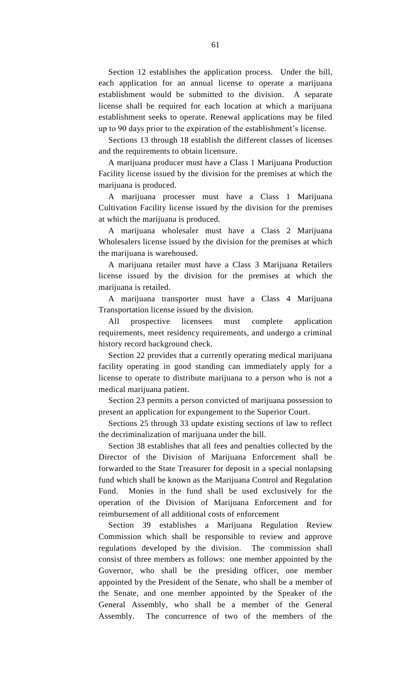Section 12 establishes the application process. Under the bill, each application for an annual license to operate a marijuana establishment would be submitted to the division. A separate license shall be required for each location at which a marijuana establishment seeks to operate. Renewal applications may be filed up to 90 days prior to the expiration of the establishment's license.

Sections 13 through 18 establish the different classes of licenses and the requirements to obtain licensure.

A marijuana producer must have a Class 1 Marijuana Production Facility license issued by the division for the premises at which the marijuana is produced.

A marijuana processer must have a Class 1 Marijuana Cultivation Facility license issued by the division for the premises at which the marijuana is produced.

A marijuana wholesaler must have a Class 2 Marijuana Wholesalers license issued by the division for the premises at which the marijuana is warehoused.

A marijuana retailer must have a Class 3 Marijuana Retailers license issued by the division for the premises at which the marijuana is retailed.

A marijuana transporter must have a Class 4 Marijuana Transportation license issued by the division.

All prospective licensees must complete application requirements, meet residency requirements, and undergo a criminal history record background check.

Section 22 provides that a currently operating medical marijuana facility operating in good standing can immediately apply for a license to operate to distribute marijuana to a person who is not a medical marijuana patient.

Section 23 permits a person convicted of marijuana possession to present an application for expungement to the Superior Court.

Sections 25 through 33 update existing sections of law to reflect the decriminalization of marijuana under the bill.

Section 38 establishes that all fees and penalties collected by the Director of the Division of Marijuana Enforcement shall be forwarded to the State Treasurer for deposit in a special nonlapsing fund which shall be known as the Marijuana Control and Regulation Fund. Monies in the fund shall be used exclusively for the operation of the Division of Marijuana Enforcement and for reimbursement of all additional costs of enforcement

Section 39 establishes a Marijuana Regulation Review Commission which shall be responsible to review and approve regulations developed by the division. The commission shall consist of three members as follows: one member appointed by the Governor, who shall be the presiding officer, one member appointed by the President of the Senate, who shall be a member of the Senate, and one member appointed by the Speaker of the General Assembly, who shall be a member of the General Assembly. The concurrence of two of the members of the